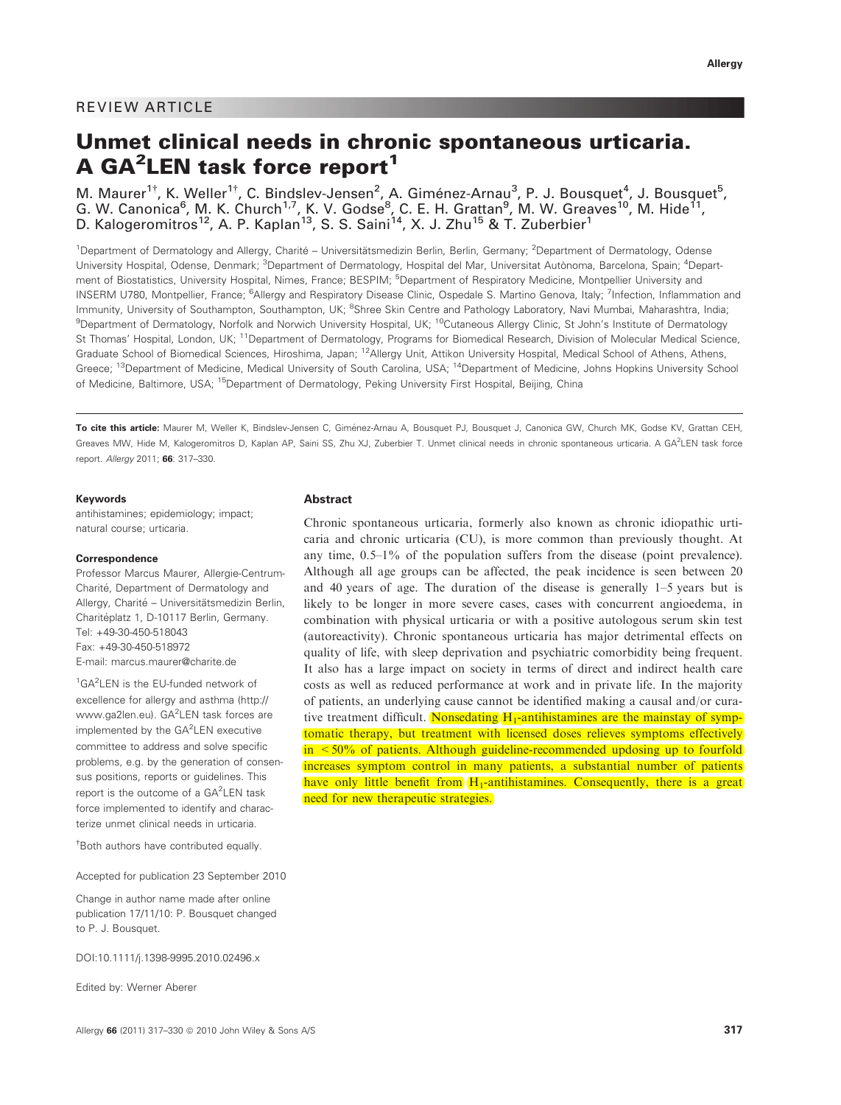## REVIEW ARTICLE

# Unmet clinical needs in chronic spontaneous urticaria. A GA<sup>2</sup>LEN task force report<sup>1</sup>

M. Maurer<sup>1†</sup>, K. Weller<sup>1†</sup>, C. Bindslev-Jensen<sup>2</sup>, A. Giménez-Arnau<sup>3</sup>, P. J. Bousquet<sup>4</sup>, J. Bousquet<sup>5</sup>, G. W. Canonica<sup>6</sup>, M. K. Church<sup>1,7</sup>, K. V. Godse<sup>8</sup>, C. E. H. Grattan<sup>9</sup>, M. W. Greaves<sup>10</sup>, M. Hide<sup>11</sup>, D. Kalogeromitros<sup>12</sup>, A. P. Kaplan<sup>13</sup>, S. S. Saini<sup>14</sup>, X. J. Zhu<sup>15</sup> & T. Zuberbier<sup>1</sup>

<sup>1</sup>Department of Dermatology and Allergy, Charité - Universitätsmedizin Berlin, Berlin, Germany; <sup>2</sup>Department of Dermatology, Odense University Hospital, Odense, Denmark; <sup>3</sup>Department of Dermatology, Hospital del Mar, Universitat Autònoma, Barcelona, Spain; <sup>4</sup>Department of Biostatistics, University Hospital, Nimes, France; BESPIM; <sup>5</sup>Department of Respiratory Medicine, Montpellier University and INSERM U780, Montpellier, France; <sup>6</sup>Allergy and Respiratory Disease Clinic, Ospedale S. Martino Genova, Italy; <sup>7</sup>Infection, Inflammation and Immunity, University of Southampton, Southampton, UK; <sup>8</sup>Shree Skin Centre and Pathology Laboratory, Navi Mumbai, Maharashtra, India; <sup>9</sup>Department of Dermatology, Norfolk and Norwich University Hospital, UK; <sup>10</sup>Cutaneous Allergy Clinic, St John's Institute of Dermatology St Thomas' Hospital, London, UK; 11Department of Dermatology, Programs for Biomedical Research, Division of Molecular Medical Science, Graduate School of Biomedical Sciences, Hiroshima, Japan; <sup>12</sup>Allergy Unit, Attikon University Hospital, Medical School of Athens, Athens, Greece; <sup>13</sup>Department of Medicine, Medical University of South Carolina, USA; <sup>14</sup>Department of Medicine, Johns Hopkins University School of Medicine, Baltimore, USA; 15Department of Dermatology, Peking University First Hospital, Beijing, China

To cite this article: Maurer M, Weller K, Bindslev-Jensen C, Giménez-Arnau A, Bousquet PJ, Bousquet J, Canonica GW, Church MK, Godse KV, Grattan CEH, Greaves MW, Hide M, Kalogeromitros D, Kaplan AP, Saini SS, Zhu XJ, Zuberbier T. Unmet clinical needs in chronic spontaneous urticaria. A GA<sup>2</sup>LEN task force report. Allergy 2011; 66: 317–330.

#### Keywords

antihistamines; epidemiology; impact; natural course; urticaria.

#### Correspondence

Professor Marcus Maurer, Allergie-Centrum-Charité, Department of Dermatology and Allergy, Charité – Universitätsmedizin Berlin, Charitéplatz 1, D-10117 Berlin, Germany. Tel: +49-30-450-518043 Fax: +49-30-450-518972 E-mail: marcus.maurer@charite.de

<sup>1</sup>GA<sup>2</sup>LEN is the EU-funded network of excellence for allergy and asthma (http:// www.ga2len.eu). GA<sup>2</sup>LEN task forces are implemented by the GA<sup>2</sup>LEN executive committee to address and solve specific problems, e.g. by the generation of consensus positions, reports or guidelines. This report is the outcome of a GA<sup>2</sup>LEN task force implemented to identify and characterize unmet clinical needs in urticaria.

- Both authors have contributed equally.

Accepted for publication 23 September 2010

Change in author name made after online publication 17/11/10: P. Bousquet changed to P. J. Bousquet.

DOI:10.1111/j.1398-9995.2010.02496.x

Edited by: Werner Aberer

#### Abstract

Chronic spontaneous urticaria, formerly also known as chronic idiopathic urticaria and chronic urticaria (CU), is more common than previously thought. At any time, 0.5–1% of the population suffers from the disease (point prevalence). Although all age groups can be affected, the peak incidence is seen between 20 and 40 years of age. The duration of the disease is generally 1–5 years but is likely to be longer in more severe cases, cases with concurrent angioedema, in combination with physical urticaria or with a positive autologous serum skin test (autoreactivity). Chronic spontaneous urticaria has major detrimental effects on quality of life, with sleep deprivation and psychiatric comorbidity being frequent. It also has a large impact on society in terms of direct and indirect health care costs as well as reduced performance at work and in private life. In the majority of patients, an underlying cause cannot be identified making a causal and/or curative treatment difficult. Nonsedating  $H_1$ -antihistamines are the mainstay of symptomatic therapy, but treatment with licensed doses relieves symptoms effectively  $\sin$  <50% of patients. Although guideline-recommended updosing up to fourfold increases symptom control in many patients, a substantial number of patients have only little benefit from  $H_1$ -antihistamines. Consequently, there is a great need for new therapeutic strategies.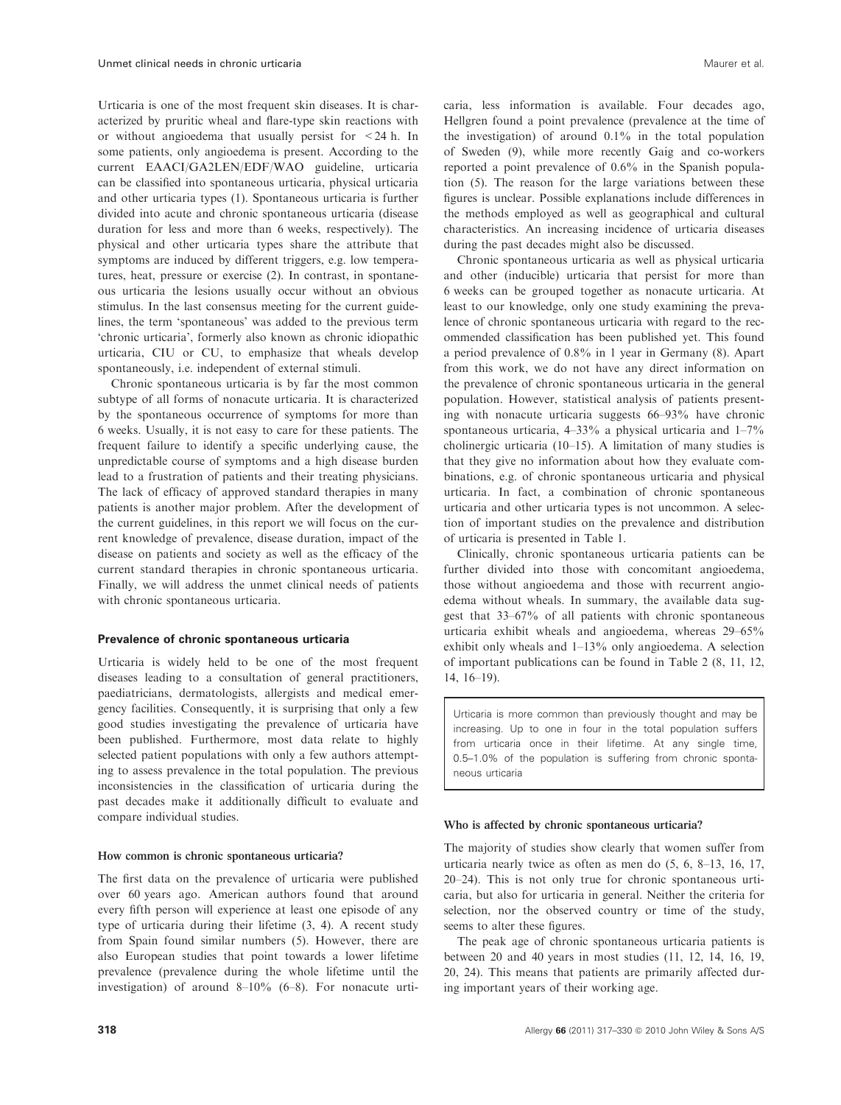Urticaria is one of the most frequent skin diseases. It is characterized by pruritic wheal and flare-type skin reactions with or without angioedema that usually persist for  $\leq 24$  h. In some patients, only angioedema is present. According to the current EAACI/GA2LEN/EDF/WAO guideline, urticaria can be classified into spontaneous urticaria, physical urticaria and other urticaria types (1). Spontaneous urticaria is further divided into acute and chronic spontaneous urticaria (disease duration for less and more than 6 weeks, respectively). The physical and other urticaria types share the attribute that symptoms are induced by different triggers, e.g. low temperatures, heat, pressure or exercise (2). In contrast, in spontaneous urticaria the lesions usually occur without an obvious stimulus. In the last consensus meeting for the current guidelines, the term 'spontaneous' was added to the previous term 'chronic urticaria', formerly also known as chronic idiopathic urticaria, CIU or CU, to emphasize that wheals develop spontaneously, i.e. independent of external stimuli.

Chronic spontaneous urticaria is by far the most common subtype of all forms of nonacute urticaria. It is characterized by the spontaneous occurrence of symptoms for more than 6 weeks. Usually, it is not easy to care for these patients. The frequent failure to identify a specific underlying cause, the unpredictable course of symptoms and a high disease burden lead to a frustration of patients and their treating physicians. The lack of efficacy of approved standard therapies in many patients is another major problem. After the development of the current guidelines, in this report we will focus on the current knowledge of prevalence, disease duration, impact of the disease on patients and society as well as the efficacy of the current standard therapies in chronic spontaneous urticaria. Finally, we will address the unmet clinical needs of patients with chronic spontaneous urticaria.

#### Prevalence of chronic spontaneous urticaria

Urticaria is widely held to be one of the most frequent diseases leading to a consultation of general practitioners, paediatricians, dermatologists, allergists and medical emergency facilities. Consequently, it is surprising that only a few good studies investigating the prevalence of urticaria have been published. Furthermore, most data relate to highly selected patient populations with only a few authors attempting to assess prevalence in the total population. The previous inconsistencies in the classification of urticaria during the past decades make it additionally difficult to evaluate and compare individual studies.

#### How common is chronic spontaneous urticaria?

The first data on the prevalence of urticaria were published over 60 years ago. American authors found that around every fifth person will experience at least one episode of any type of urticaria during their lifetime (3, 4). A recent study from Spain found similar numbers (5). However, there are also European studies that point towards a lower lifetime prevalence (prevalence during the whole lifetime until the investigation) of around 8–10% (6–8). For nonacute urticaria, less information is available. Four decades ago, Hellgren found a point prevalence (prevalence at the time of the investigation) of around 0.1% in the total population of Sweden (9), while more recently Gaig and co-workers reported a point prevalence of 0.6% in the Spanish population (5). The reason for the large variations between these figures is unclear. Possible explanations include differences in the methods employed as well as geographical and cultural characteristics. An increasing incidence of urticaria diseases during the past decades might also be discussed.

Chronic spontaneous urticaria as well as physical urticaria and other (inducible) urticaria that persist for more than 6 weeks can be grouped together as nonacute urticaria. At least to our knowledge, only one study examining the prevalence of chronic spontaneous urticaria with regard to the recommended classification has been published yet. This found a period prevalence of 0.8% in 1 year in Germany (8). Apart from this work, we do not have any direct information on the prevalence of chronic spontaneous urticaria in the general population. However, statistical analysis of patients presenting with nonacute urticaria suggests 66–93% have chronic spontaneous urticaria, 4–33% a physical urticaria and 1–7% cholinergic urticaria (10–15). A limitation of many studies is that they give no information about how they evaluate combinations, e.g. of chronic spontaneous urticaria and physical urticaria. In fact, a combination of chronic spontaneous urticaria and other urticaria types is not uncommon. A selection of important studies on the prevalence and distribution of urticaria is presented in Table 1.

Clinically, chronic spontaneous urticaria patients can be further divided into those with concomitant angioedema, those without angioedema and those with recurrent angioedema without wheals. In summary, the available data suggest that 33–67% of all patients with chronic spontaneous urticaria exhibit wheals and angioedema, whereas 29–65% exhibit only wheals and 1–13% only angioedema. A selection of important publications can be found in Table 2 (8, 11, 12, 14, 16–19).

Urticaria is more common than previously thought and may be increasing. Up to one in four in the total population suffers from urticaria once in their lifetime. At any single time, 0.5–1.0% of the population is suffering from chronic spontaneous urticaria

#### Who is affected by chronic spontaneous urticaria?

The majority of studies show clearly that women suffer from urticaria nearly twice as often as men do (5, 6, 8–13, 16, 17, 20–24). This is not only true for chronic spontaneous urticaria, but also for urticaria in general. Neither the criteria for selection, nor the observed country or time of the study, seems to alter these figures.

The peak age of chronic spontaneous urticaria patients is between 20 and 40 years in most studies (11, 12, 14, 16, 19, 20, 24). This means that patients are primarily affected during important years of their working age.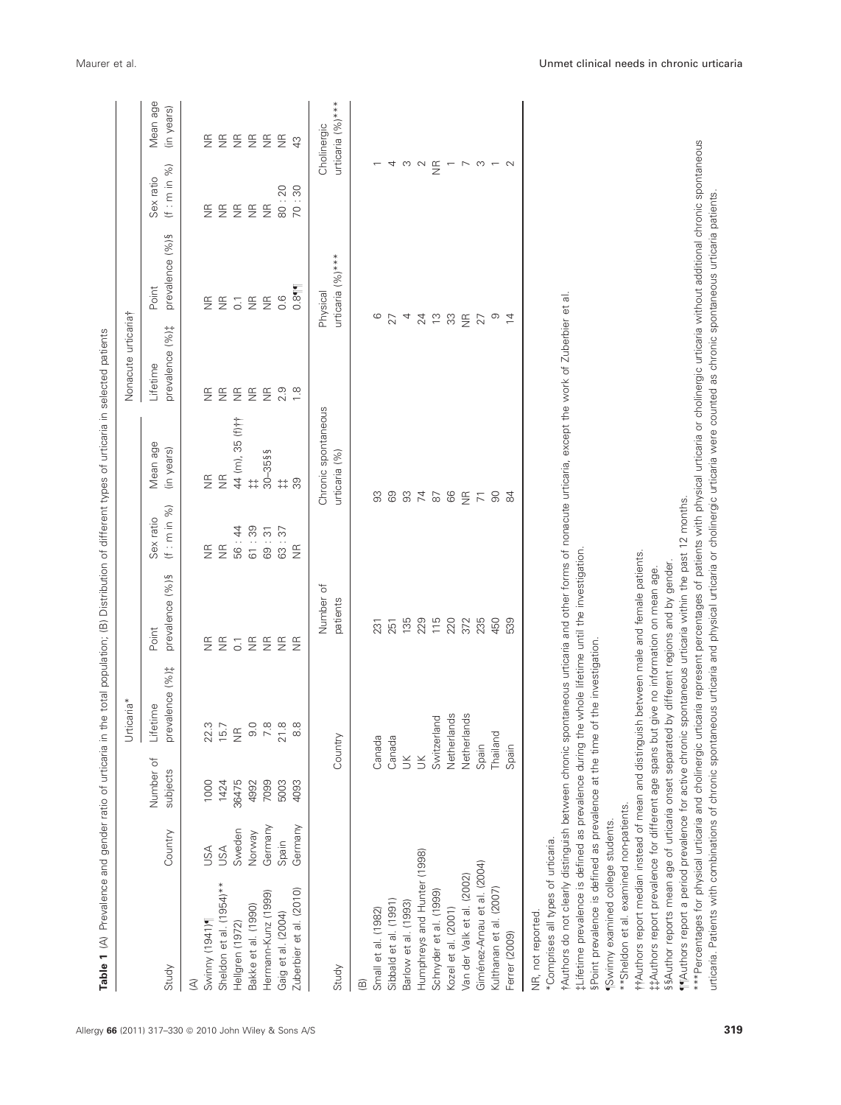| Table 1 (A) Prevalence and gender ratio of urticaria in the total population; (B) Distribution of different types of urticaria in selected patients                                                                                                                                                                                                                                                                                                                                                                                                                                                                                                                                                                                                                                                                                                                                                                                                                                                                                                                                                                                     |                  |                       |                                                                            |                                                                                                                            |                                                                                    |                                         |                                                                                                                                                                                                                                                                                                                                                                                                                                                                |                                         |                                                                          |                                          |
|-----------------------------------------------------------------------------------------------------------------------------------------------------------------------------------------------------------------------------------------------------------------------------------------------------------------------------------------------------------------------------------------------------------------------------------------------------------------------------------------------------------------------------------------------------------------------------------------------------------------------------------------------------------------------------------------------------------------------------------------------------------------------------------------------------------------------------------------------------------------------------------------------------------------------------------------------------------------------------------------------------------------------------------------------------------------------------------------------------------------------------------------|------------------|-----------------------|----------------------------------------------------------------------------|----------------------------------------------------------------------------------------------------------------------------|------------------------------------------------------------------------------------|-----------------------------------------|----------------------------------------------------------------------------------------------------------------------------------------------------------------------------------------------------------------------------------------------------------------------------------------------------------------------------------------------------------------------------------------------------------------------------------------------------------------|-----------------------------------------|--------------------------------------------------------------------------|------------------------------------------|
|                                                                                                                                                                                                                                                                                                                                                                                                                                                                                                                                                                                                                                                                                                                                                                                                                                                                                                                                                                                                                                                                                                                                         |                  |                       | icaria*<br>j                                                               |                                                                                                                            |                                                                                    |                                         | Nonacute urticaria†                                                                                                                                                                                                                                                                                                                                                                                                                                            |                                         |                                                                          |                                          |
| Study                                                                                                                                                                                                                                                                                                                                                                                                                                                                                                                                                                                                                                                                                                                                                                                                                                                                                                                                                                                                                                                                                                                                   | Country          | Number of<br>subjects | prevalence (%) <sup>t</sup><br>Lifetime                                    | prevalence (%)§<br>Point                                                                                                   | (f: m in %)<br>Sex ratio                                                           | Mean age<br>(in years)                  | prevalence (%);<br>Lifetime                                                                                                                                                                                                                                                                                                                                                                                                                                    | prevalence (%)§<br>Point                | $\%$<br>Sex ratio<br>(f: m in                                            | Mean age<br>(in years)                   |
| $\mathfrak{S}$                                                                                                                                                                                                                                                                                                                                                                                                                                                                                                                                                                                                                                                                                                                                                                                                                                                                                                                                                                                                                                                                                                                          |                  | 1000                  |                                                                            |                                                                                                                            |                                                                                    |                                         |                                                                                                                                                                                                                                                                                                                                                                                                                                                                |                                         |                                                                          |                                          |
| Sheldon et al. (1954)**<br>Swinny (1941)                                                                                                                                                                                                                                                                                                                                                                                                                                                                                                                                                                                                                                                                                                                                                                                                                                                                                                                                                                                                                                                                                                | USA<br>USA       | 1424                  | 22.3                                                                       | $\frac{\alpha}{2}$<br>$\frac{\pi}{2}$                                                                                      | $\frac{\mathsf{p}}{\mathsf{p}}$<br>$\stackrel{\scriptscriptstyle{\text{E}}}{\geq}$ | $\frac{\alpha}{2}$<br>$\widetilde{\Xi}$ | $\frac{\alpha}{2}$<br>$\widetilde{\Xi}$                                                                                                                                                                                                                                                                                                                                                                                                                        | $\frac{\alpha}{2}$<br>$\frac{\pi}{2}$   | $\frac{\alpha}{2}$<br>$\stackrel{\scriptscriptstyle{\text{pc}}}{\geq}$   | $\widetilde{\Xi}$<br>$\widetilde{\Xi}$   |
|                                                                                                                                                                                                                                                                                                                                                                                                                                                                                                                                                                                                                                                                                                                                                                                                                                                                                                                                                                                                                                                                                                                                         |                  |                       |                                                                            |                                                                                                                            |                                                                                    |                                         |                                                                                                                                                                                                                                                                                                                                                                                                                                                                |                                         |                                                                          |                                          |
| Bakke et al. (1990)<br>Hellgren (1972)                                                                                                                                                                                                                                                                                                                                                                                                                                                                                                                                                                                                                                                                                                                                                                                                                                                                                                                                                                                                                                                                                                  | Sweden           | 36475<br>4992         | $\stackrel{\scriptscriptstyle{\text{nc}}}{\scriptscriptstyle{\text{Z}}}\,$ | $\overline{O}$ 1<br>$\widetilde{\Xi}$                                                                                      | 61:39<br>4<br>$-56$                                                                | 44 (m), 35 (f) ††                       | $\frac{\mathbb{E}}{\mathbb{E}}$<br>$\frac{\mathsf{p}}{\mathsf{p}}$                                                                                                                                                                                                                                                                                                                                                                                             | $\overline{\text{o}}$                   | $\stackrel{\scriptscriptstyle{\text{CE}}}{\scriptscriptstyle{\text{Z}}}$ | $\frac{\alpha}{2}$<br>$\frac{\alpha}{2}$ |
|                                                                                                                                                                                                                                                                                                                                                                                                                                                                                                                                                                                                                                                                                                                                                                                                                                                                                                                                                                                                                                                                                                                                         | Norway           |                       |                                                                            | $\frac{\alpha}{2}$                                                                                                         |                                                                                    | $\ddot{+}$                              | $\widetilde{\Xi}$                                                                                                                                                                                                                                                                                                                                                                                                                                              | $\widetilde{\Xi}$<br>$\frac{\alpha}{2}$ | $\frac{\alpha}{2}$                                                       | $rac{\pi}{2}$                            |
| Hermann-Kunz (1999)<br>Gaig et al. (2004)                                                                                                                                                                                                                                                                                                                                                                                                                                                                                                                                                                                                                                                                                                                                                                                                                                                                                                                                                                                                                                                                                               | Germany<br>Spain | 7099<br>5003          | $0.0$<br>$7.0$<br>$7.0$                                                    | $\frac{\alpha}{2}$                                                                                                         | $\overline{3}$<br>69:31<br>63:                                                     | 30-35§§<br>$\stackrel{++}{++}$          | 2.9                                                                                                                                                                                                                                                                                                                                                                                                                                                            | 0.6                                     | 80 : 20                                                                  | $rac{\pi}{2}$                            |
| Zuberbier et al. (2010)                                                                                                                                                                                                                                                                                                                                                                                                                                                                                                                                                                                                                                                                                                                                                                                                                                                                                                                                                                                                                                                                                                                 | Germany          | 4093                  | $\frac{8}{8}$                                                              | $rac{\infty}{2}$                                                                                                           | $\frac{1}{2}$                                                                      | 39                                      | $\frac{8}{10}$                                                                                                                                                                                                                                                                                                                                                                                                                                                 | 0.8                                     | 70:30                                                                    | $\frac{3}{4}$                            |
|                                                                                                                                                                                                                                                                                                                                                                                                                                                                                                                                                                                                                                                                                                                                                                                                                                                                                                                                                                                                                                                                                                                                         |                  |                       |                                                                            | Number of                                                                                                                  |                                                                                    | Chronic spontaneous                     |                                                                                                                                                                                                                                                                                                                                                                                                                                                                | Physical                                |                                                                          | Cholinergic                              |
| Study                                                                                                                                                                                                                                                                                                                                                                                                                                                                                                                                                                                                                                                                                                                                                                                                                                                                                                                                                                                                                                                                                                                                   |                  | Country               |                                                                            | patients                                                                                                                   |                                                                                    | urticaria (%)                           |                                                                                                                                                                                                                                                                                                                                                                                                                                                                | urticaria (%)***                        |                                                                          | urticaria (%)***                         |
| 画                                                                                                                                                                                                                                                                                                                                                                                                                                                                                                                                                                                                                                                                                                                                                                                                                                                                                                                                                                                                                                                                                                                                       |                  |                       |                                                                            |                                                                                                                            |                                                                                    |                                         |                                                                                                                                                                                                                                                                                                                                                                                                                                                                |                                         |                                                                          |                                          |
| Small et al. (1982)                                                                                                                                                                                                                                                                                                                                                                                                                                                                                                                                                                                                                                                                                                                                                                                                                                                                                                                                                                                                                                                                                                                     |                  | Canada                |                                                                            | 231                                                                                                                        | SS                                                                                 |                                         |                                                                                                                                                                                                                                                                                                                                                                                                                                                                | $\circ$                                 | $\overline{\phantom{0}}$                                                 |                                          |
| Sibbald et al. (1991)                                                                                                                                                                                                                                                                                                                                                                                                                                                                                                                                                                                                                                                                                                                                                                                                                                                                                                                                                                                                                                                                                                                   |                  | Canada                |                                                                            | 251                                                                                                                        | 69                                                                                 |                                         |                                                                                                                                                                                                                                                                                                                                                                                                                                                                |                                         |                                                                          |                                          |
| Barlow et al. (1993)                                                                                                                                                                                                                                                                                                                                                                                                                                                                                                                                                                                                                                                                                                                                                                                                                                                                                                                                                                                                                                                                                                                    |                  | $\leq$                |                                                                            | 135                                                                                                                        | $\mathfrak{S}$                                                                     |                                         | $\begin{array}{l} \mathbb{Z} \\ \mathbb{Z} \\ \mathbb{Z} \\ \mathbb{Z} \\ \mathbb{Z} \\ \mathbb{Z} \\ \mathbb{Z} \\ \mathbb{Z} \\ \mathbb{Z} \\ \mathbb{Z} \\ \mathbb{Z} \\ \mathbb{Z} \\ \mathbb{Z} \\ \mathbb{Z} \\ \mathbb{Z} \\ \mathbb{Z} \\ \mathbb{Z} \\ \mathbb{Z} \\ \mathbb{Z} \\ \mathbb{Z} \\ \mathbb{Z} \\ \mathbb{Z} \\ \mathbb{Z} \\ \mathbb{Z} \\ \mathbb{Z} \\ \mathbb{Z} \\ \mathbb{Z} \\ \mathbb{Z} \\ \mathbb{Z} \\ \mathbb{Z} \\ \mathbb$ |                                         | $4 w 0 \underline{\alpha} = 5 w - 5$                                     |                                          |
| Humphreys and Hunter (1998)                                                                                                                                                                                                                                                                                                                                                                                                                                                                                                                                                                                                                                                                                                                                                                                                                                                                                                                                                                                                                                                                                                             |                  | $\leq$                |                                                                            | 229                                                                                                                        |                                                                                    |                                         |                                                                                                                                                                                                                                                                                                                                                                                                                                                                |                                         |                                                                          |                                          |
| Schnyder et al. (1999)                                                                                                                                                                                                                                                                                                                                                                                                                                                                                                                                                                                                                                                                                                                                                                                                                                                                                                                                                                                                                                                                                                                  |                  |                       | Switzerland                                                                | 115                                                                                                                        |                                                                                    |                                         |                                                                                                                                                                                                                                                                                                                                                                                                                                                                |                                         |                                                                          |                                          |
| Kozel et al. (2001)                                                                                                                                                                                                                                                                                                                                                                                                                                                                                                                                                                                                                                                                                                                                                                                                                                                                                                                                                                                                                                                                                                                     |                  |                       | Netherlands                                                                | 220                                                                                                                        | 78857                                                                              |                                         |                                                                                                                                                                                                                                                                                                                                                                                                                                                                |                                         |                                                                          |                                          |
| Van der Valk et al. (2002)                                                                                                                                                                                                                                                                                                                                                                                                                                                                                                                                                                                                                                                                                                                                                                                                                                                                                                                                                                                                                                                                                                              |                  |                       | Netherlands                                                                | 372                                                                                                                        |                                                                                    |                                         |                                                                                                                                                                                                                                                                                                                                                                                                                                                                |                                         |                                                                          |                                          |
| Giménez-Amau et al. (2004)                                                                                                                                                                                                                                                                                                                                                                                                                                                                                                                                                                                                                                                                                                                                                                                                                                                                                                                                                                                                                                                                                                              |                  | Spain                 |                                                                            | 235                                                                                                                        |                                                                                    |                                         |                                                                                                                                                                                                                                                                                                                                                                                                                                                                |                                         |                                                                          |                                          |
| Kulthanan et al. (2007)                                                                                                                                                                                                                                                                                                                                                                                                                                                                                                                                                                                                                                                                                                                                                                                                                                                                                                                                                                                                                                                                                                                 |                  |                       | Thailand                                                                   | 450                                                                                                                        | 90                                                                                 |                                         | $\circ$                                                                                                                                                                                                                                                                                                                                                                                                                                                        |                                         |                                                                          |                                          |
| Ferrer (2009)                                                                                                                                                                                                                                                                                                                                                                                                                                                                                                                                                                                                                                                                                                                                                                                                                                                                                                                                                                                                                                                                                                                           |                  | Spain                 |                                                                            | 539                                                                                                                        | 54                                                                                 |                                         | $\overline{4}$                                                                                                                                                                                                                                                                                                                                                                                                                                                 |                                         |                                                                          |                                          |
| ***Percentages for physical urticaria and cholinergic urticaria represent percentages of patients with physical urticaria or cholinergic urticaria without additional chronic spontaneous<br>urticaria. Patients with combinations of chronic spontaneous urticaria and physical urticaria or cholinergic urticaria were counted as chronic spontaneous urticaria patients<br>AAuthors do not clearly distinguish between chronic spontaneous urticaria and other forms of nonacute urticaria, except the work of Zuberbier et<br>#Lifetime prevalence is defined as prevalence during the whole lifetime until the investigation<br>thAuthors report median instead of mean and distinguish between male and female patients<br>sPoint prevalence is defined as prevalence at the time of the investigation<br>##Authors report prevalence for different age spans but<br>§§Author reports mean age of urticaria onset separated<br>MAuthors report a period prevalence for active chronic<br>**Sheldon et al. examined non-patients.<br>¶Swinny examined college students.<br>*Comprises all types of urticaria.<br>NR, not reported. |                  |                       |                                                                            | spontaneous urticaria within the past 12 months.<br>by different regions and by gender<br>give no information on mean age. |                                                                                    |                                         |                                                                                                                                                                                                                                                                                                                                                                                                                                                                | ᅙ                                       |                                                                          |                                          |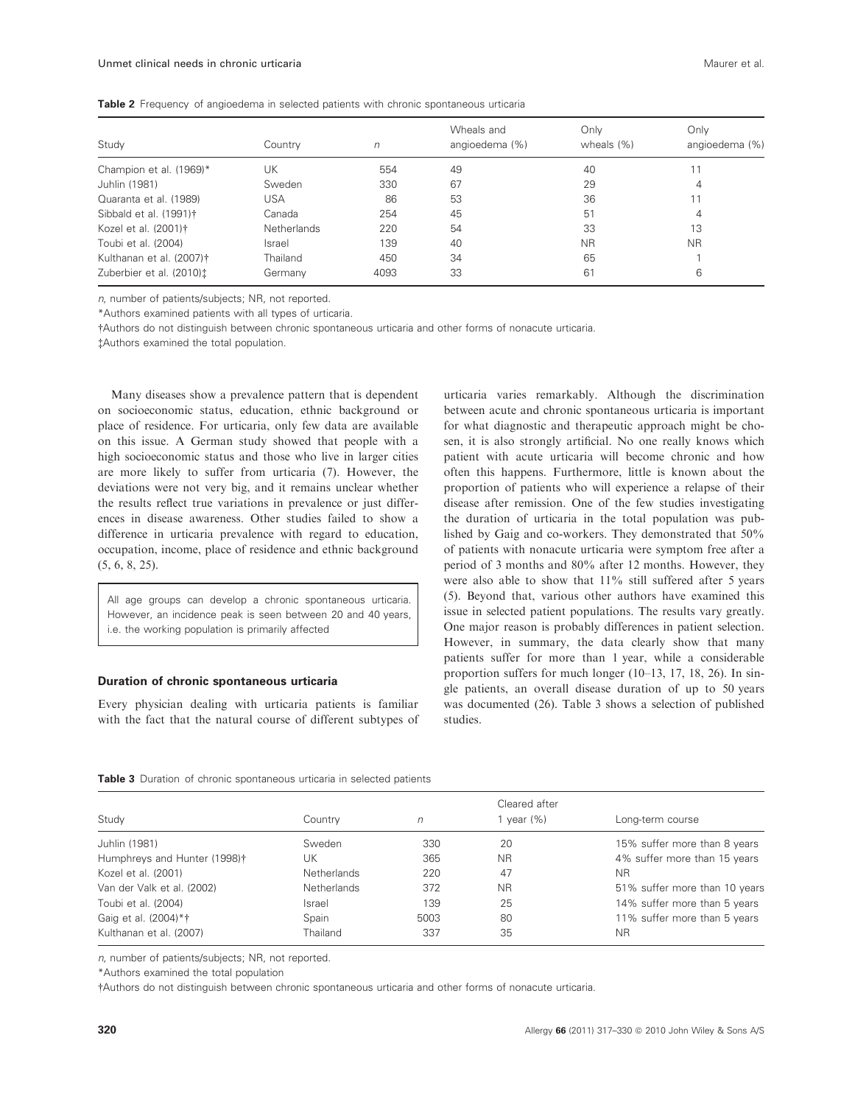|  |  |  | Table 2 Frequency of angioedema in selected patients with chronic spontaneous urticaria |  |
|--|--|--|-----------------------------------------------------------------------------------------|--|
|--|--|--|-----------------------------------------------------------------------------------------|--|

| Study                                | Country            | n    | Wheals and<br>angioedema (%) | Only<br>wheals (%) | Only<br>angioedema (%) |
|--------------------------------------|--------------------|------|------------------------------|--------------------|------------------------|
| Champion et al. (1969)*              | UK                 | 554  | 49                           | 40                 |                        |
| Juhlin (1981)                        | Sweden             | 330  | 67                           | 29                 |                        |
| Quaranta et al. (1989)               | USA                | 86   | 53                           | 36                 |                        |
| Sibbald et al. (1991)†               | Canada             | 254  | 45                           | 51                 | 4                      |
| Kozel et al. (2001)†                 | <b>Netherlands</b> | 220  | 54                           | 33                 | 13                     |
| Toubi et al. (2004)                  | <b>Israel</b>      | 139  | 40                           | <b>NR</b>          | <b>NR</b>              |
| Kulthanan et al. (2007)†             | Thailand           | 450  | 34                           | 65                 |                        |
| Zuberbier et al. (2010) <sup>†</sup> | Germany            | 4093 | 33                           | 61                 | 6                      |

n, number of patients/subjects; NR, not reported.

\*Authors examined patients with all types of urticaria.

-Authors do not distinguish between chronic spontaneous urticaria and other forms of nonacute urticaria.

Authors examined the total population.

Many diseases show a prevalence pattern that is dependent on socioeconomic status, education, ethnic background or place of residence. For urticaria, only few data are available on this issue. A German study showed that people with a high socioeconomic status and those who live in larger cities are more likely to suffer from urticaria (7). However, the deviations were not very big, and it remains unclear whether the results reflect true variations in prevalence or just differences in disease awareness. Other studies failed to show a difference in urticaria prevalence with regard to education, occupation, income, place of residence and ethnic background (5, 6, 8, 25).

All age groups can develop a chronic spontaneous urticaria. However, an incidence peak is seen between 20 and 40 years, i.e. the working population is primarily affected

#### Duration of chronic spontaneous urticaria

Every physician dealing with urticaria patients is familiar with the fact that the natural course of different subtypes of urticaria varies remarkably. Although the discrimination between acute and chronic spontaneous urticaria is important for what diagnostic and therapeutic approach might be chosen, it is also strongly artificial. No one really knows which patient with acute urticaria will become chronic and how often this happens. Furthermore, little is known about the proportion of patients who will experience a relapse of their disease after remission. One of the few studies investigating the duration of urticaria in the total population was published by Gaig and co-workers. They demonstrated that 50% of patients with nonacute urticaria were symptom free after a period of 3 months and 80% after 12 months. However, they were also able to show that 11% still suffered after 5 years (5). Beyond that, various other authors have examined this issue in selected patient populations. The results vary greatly. One major reason is probably differences in patient selection. However, in summary, the data clearly show that many patients suffer for more than 1 year, while a considerable proportion suffers for much longer (10–13, 17, 18, 26). In single patients, an overall disease duration of up to 50 years was documented (26). Table 3 shows a selection of published studies.

|  |  |  | Table 3 Duration of chronic spontaneous urticaria in selected patients |  |  |  |  |
|--|--|--|------------------------------------------------------------------------|--|--|--|--|
|--|--|--|------------------------------------------------------------------------|--|--|--|--|

| Study                        | Country            | n    | Cleared after<br>1 year $(\%)$ | Long-term course              |
|------------------------------|--------------------|------|--------------------------------|-------------------------------|
|                              |                    |      |                                |                               |
| Juhlin (1981)                | Sweden             | 330  | 20                             | 15% suffer more than 8 years  |
| Humphreys and Hunter (1998)† | UK                 | 365  | <b>NR</b>                      | 4% suffer more than 15 years  |
| Kozel et al. (2001)          | Netherlands        | 220  | 47                             | ΝR                            |
| Van der Valk et al. (2002)   | <b>Netherlands</b> | 372  | <b>NR</b>                      | 51% suffer more than 10 years |
| Toubi et al. (2004)          | <b>Israel</b>      | 139  | 25                             | 14% suffer more than 5 years  |
| Gaig et al. (2004)*†         | Spain              | 5003 | 80                             | 11% suffer more than 5 years  |
| Kulthanan et al. (2007)      | Thailand           | 337  | 35                             | <b>NR</b>                     |

n, number of patients/subjects; NR, not reported.

\*Authors examined the total population

-Authors do not distinguish between chronic spontaneous urticaria and other forms of nonacute urticaria.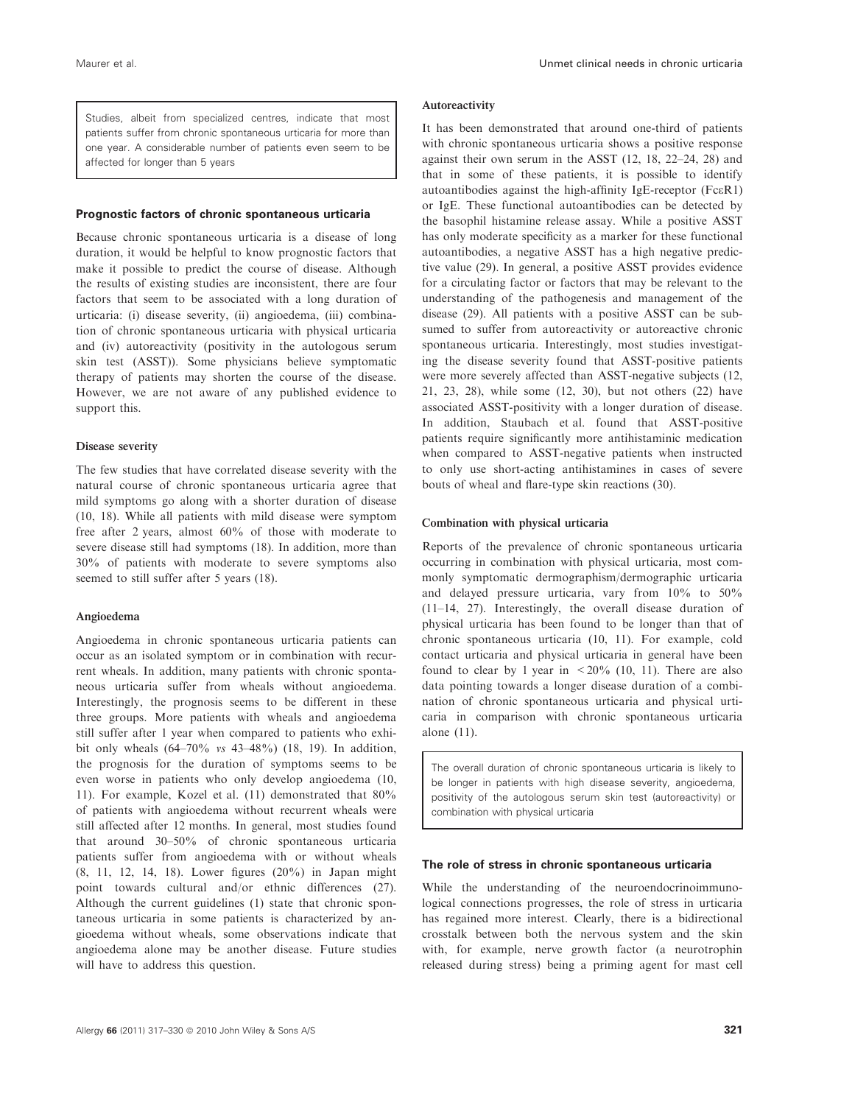Studies, albeit from specialized centres, indicate that most patients suffer from chronic spontaneous urticaria for more than one year. A considerable number of patients even seem to be affected for longer than 5 years

#### Prognostic factors of chronic spontaneous urticaria

Because chronic spontaneous urticaria is a disease of long duration, it would be helpful to know prognostic factors that make it possible to predict the course of disease. Although the results of existing studies are inconsistent, there are four factors that seem to be associated with a long duration of urticaria: (i) disease severity, (ii) angioedema, (iii) combination of chronic spontaneous urticaria with physical urticaria and (iv) autoreactivity (positivity in the autologous serum skin test (ASST)). Some physicians believe symptomatic therapy of patients may shorten the course of the disease. However, we are not aware of any published evidence to support this.

#### Disease severity

The few studies that have correlated disease severity with the natural course of chronic spontaneous urticaria agree that mild symptoms go along with a shorter duration of disease (10, 18). While all patients with mild disease were symptom free after 2 years, almost 60% of those with moderate to severe disease still had symptoms (18). In addition, more than 30% of patients with moderate to severe symptoms also seemed to still suffer after 5 years (18).

#### Angioedema

Angioedema in chronic spontaneous urticaria patients can occur as an isolated symptom or in combination with recurrent wheals. In addition, many patients with chronic spontaneous urticaria suffer from wheals without angioedema. Interestingly, the prognosis seems to be different in these three groups. More patients with wheals and angioedema still suffer after 1 year when compared to patients who exhibit only wheals (64–70% vs 43–48%) (18, 19). In addition, the prognosis for the duration of symptoms seems to be even worse in patients who only develop angioedema (10, 11). For example, Kozel et al. (11) demonstrated that 80% of patients with angioedema without recurrent wheals were still affected after 12 months. In general, most studies found that around 30–50% of chronic spontaneous urticaria patients suffer from angioedema with or without wheals (8, 11, 12, 14, 18). Lower figures (20%) in Japan might point towards cultural and/or ethnic differences (27). Although the current guidelines (1) state that chronic spontaneous urticaria in some patients is characterized by angioedema without wheals, some observations indicate that angioedema alone may be another disease. Future studies will have to address this question.

## Autoreactivity

It has been demonstrated that around one-third of patients with chronic spontaneous urticaria shows a positive response against their own serum in the ASST (12, 18, 22–24, 28) and that in some of these patients, it is possible to identify autoantibodies against the high-affinity IgE-receptor (FceR1) or IgE. These functional autoantibodies can be detected by the basophil histamine release assay. While a positive ASST has only moderate specificity as a marker for these functional autoantibodies, a negative ASST has a high negative predictive value (29). In general, a positive ASST provides evidence for a circulating factor or factors that may be relevant to the understanding of the pathogenesis and management of the disease (29). All patients with a positive ASST can be subsumed to suffer from autoreactivity or autoreactive chronic spontaneous urticaria. Interestingly, most studies investigating the disease severity found that ASST-positive patients were more severely affected than ASST-negative subjects (12, 21, 23, 28), while some (12, 30), but not others (22) have associated ASST-positivity with a longer duration of disease. In addition, Staubach et al. found that ASST-positive patients require significantly more antihistaminic medication when compared to ASST-negative patients when instructed to only use short-acting antihistamines in cases of severe bouts of wheal and flare-type skin reactions (30).

## Combination with physical urticaria

Reports of the prevalence of chronic spontaneous urticaria occurring in combination with physical urticaria, most commonly symptomatic dermographism/dermographic urticaria and delayed pressure urticaria, vary from 10% to 50% (11–14, 27). Interestingly, the overall disease duration of physical urticaria has been found to be longer than that of chronic spontaneous urticaria (10, 11). For example, cold contact urticaria and physical urticaria in general have been found to clear by 1 year in  $\leq 20\%$  (10, 11). There are also data pointing towards a longer disease duration of a combination of chronic spontaneous urticaria and physical urticaria in comparison with chronic spontaneous urticaria alone (11).

The overall duration of chronic spontaneous urticaria is likely to be longer in patients with high disease severity, angioedema, positivity of the autologous serum skin test (autoreactivity) or combination with physical urticaria

#### The role of stress in chronic spontaneous urticaria

While the understanding of the neuroendocrinoimmunological connections progresses, the role of stress in urticaria has regained more interest. Clearly, there is a bidirectional crosstalk between both the nervous system and the skin with, for example, nerve growth factor (a neurotrophin released during stress) being a priming agent for mast cell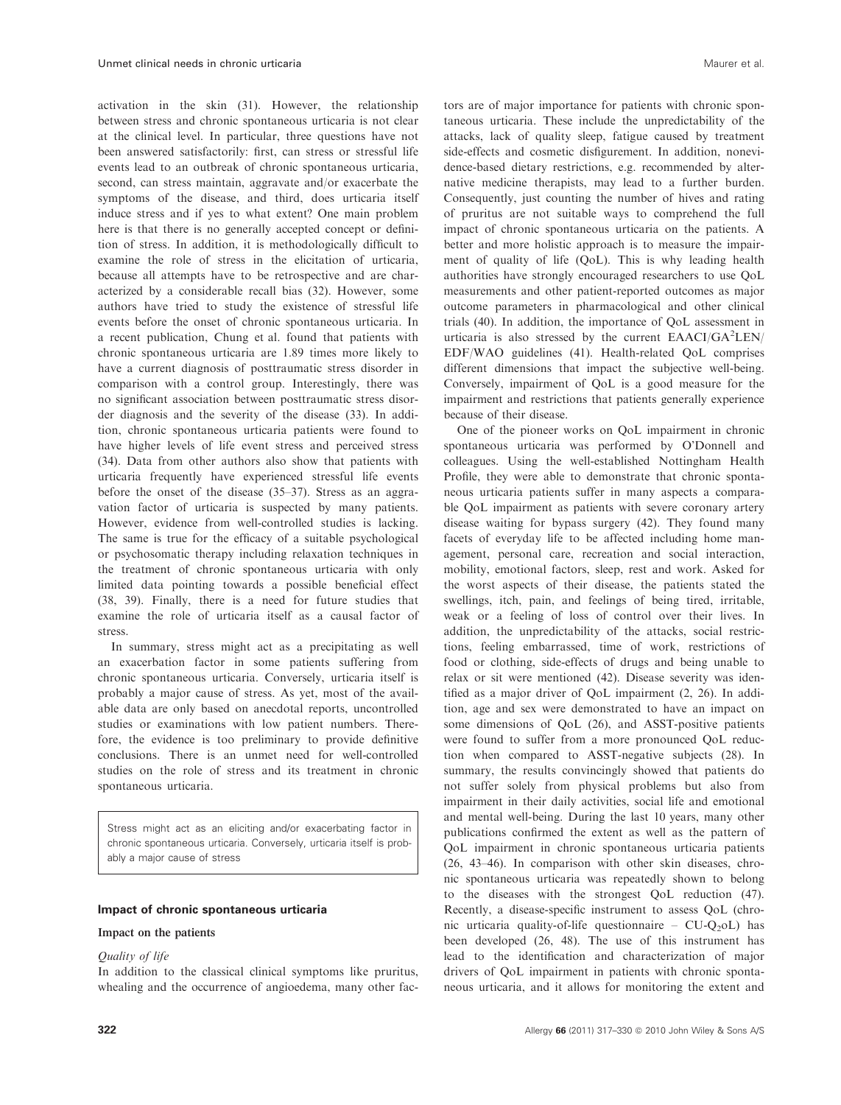activation in the skin (31). However, the relationship between stress and chronic spontaneous urticaria is not clear at the clinical level. In particular, three questions have not been answered satisfactorily: first, can stress or stressful life events lead to an outbreak of chronic spontaneous urticaria, second, can stress maintain, aggravate and/or exacerbate the symptoms of the disease, and third, does urticaria itself induce stress and if yes to what extent? One main problem here is that there is no generally accepted concept or definition of stress. In addition, it is methodologically difficult to examine the role of stress in the elicitation of urticaria, because all attempts have to be retrospective and are characterized by a considerable recall bias (32). However, some authors have tried to study the existence of stressful life events before the onset of chronic spontaneous urticaria. In a recent publication, Chung et al. found that patients with chronic spontaneous urticaria are 1.89 times more likely to have a current diagnosis of posttraumatic stress disorder in comparison with a control group. Interestingly, there was no significant association between posttraumatic stress disorder diagnosis and the severity of the disease (33). In addition, chronic spontaneous urticaria patients were found to have higher levels of life event stress and perceived stress (34). Data from other authors also show that patients with urticaria frequently have experienced stressful life events before the onset of the disease (35–37). Stress as an aggravation factor of urticaria is suspected by many patients. However, evidence from well-controlled studies is lacking. The same is true for the efficacy of a suitable psychological or psychosomatic therapy including relaxation techniques in the treatment of chronic spontaneous urticaria with only limited data pointing towards a possible beneficial effect (38, 39). Finally, there is a need for future studies that examine the role of urticaria itself as a causal factor of stress.

In summary, stress might act as a precipitating as well an exacerbation factor in some patients suffering from chronic spontaneous urticaria. Conversely, urticaria itself is probably a major cause of stress. As yet, most of the available data are only based on anecdotal reports, uncontrolled studies or examinations with low patient numbers. Therefore, the evidence is too preliminary to provide definitive conclusions. There is an unmet need for well-controlled studies on the role of stress and its treatment in chronic spontaneous urticaria.

Stress might act as an eliciting and/or exacerbating factor in chronic spontaneous urticaria. Conversely, urticaria itself is probably a major cause of stress

#### Impact of chronic spontaneous urticaria

#### Impact on the patients

#### Quality of life

In addition to the classical clinical symptoms like pruritus, whealing and the occurrence of angioedema, many other factors are of major importance for patients with chronic spontaneous urticaria. These include the unpredictability of the attacks, lack of quality sleep, fatigue caused by treatment side-effects and cosmetic disfigurement. In addition, nonevidence-based dietary restrictions, e.g. recommended by alternative medicine therapists, may lead to a further burden. Consequently, just counting the number of hives and rating of pruritus are not suitable ways to comprehend the full impact of chronic spontaneous urticaria on the patients. A better and more holistic approach is to measure the impairment of quality of life (QoL). This is why leading health authorities have strongly encouraged researchers to use QoL measurements and other patient-reported outcomes as major outcome parameters in pharmacological and other clinical trials (40). In addition, the importance of QoL assessment in urticaria is also stressed by the current  $EAACI/GA^2LEN/$ EDF/WAO guidelines (41). Health-related QoL comprises different dimensions that impact the subjective well-being. Conversely, impairment of QoL is a good measure for the impairment and restrictions that patients generally experience because of their disease.

One of the pioneer works on QoL impairment in chronic spontaneous urticaria was performed by O'Donnell and colleagues. Using the well-established Nottingham Health Profile, they were able to demonstrate that chronic spontaneous urticaria patients suffer in many aspects a comparable QoL impairment as patients with severe coronary artery disease waiting for bypass surgery (42). They found many facets of everyday life to be affected including home management, personal care, recreation and social interaction, mobility, emotional factors, sleep, rest and work. Asked for the worst aspects of their disease, the patients stated the swellings, itch, pain, and feelings of being tired, irritable, weak or a feeling of loss of control over their lives. In addition, the unpredictability of the attacks, social restrictions, feeling embarrassed, time of work, restrictions of food or clothing, side-effects of drugs and being unable to relax or sit were mentioned (42). Disease severity was identified as a major driver of QoL impairment (2, 26). In addition, age and sex were demonstrated to have an impact on some dimensions of QoL (26), and ASST-positive patients were found to suffer from a more pronounced QoL reduction when compared to ASST-negative subjects (28). In summary, the results convincingly showed that patients do not suffer solely from physical problems but also from impairment in their daily activities, social life and emotional and mental well-being. During the last 10 years, many other publications confirmed the extent as well as the pattern of QoL impairment in chronic spontaneous urticaria patients (26, 43–46). In comparison with other skin diseases, chronic spontaneous urticaria was repeatedly shown to belong to the diseases with the strongest QoL reduction (47). Recently, a disease-specific instrument to assess QoL (chronic urticaria quality-of-life questionnaire –  $CU-Q_2oL$ ) has been developed (26, 48). The use of this instrument has lead to the identification and characterization of major drivers of QoL impairment in patients with chronic spontaneous urticaria, and it allows for monitoring the extent and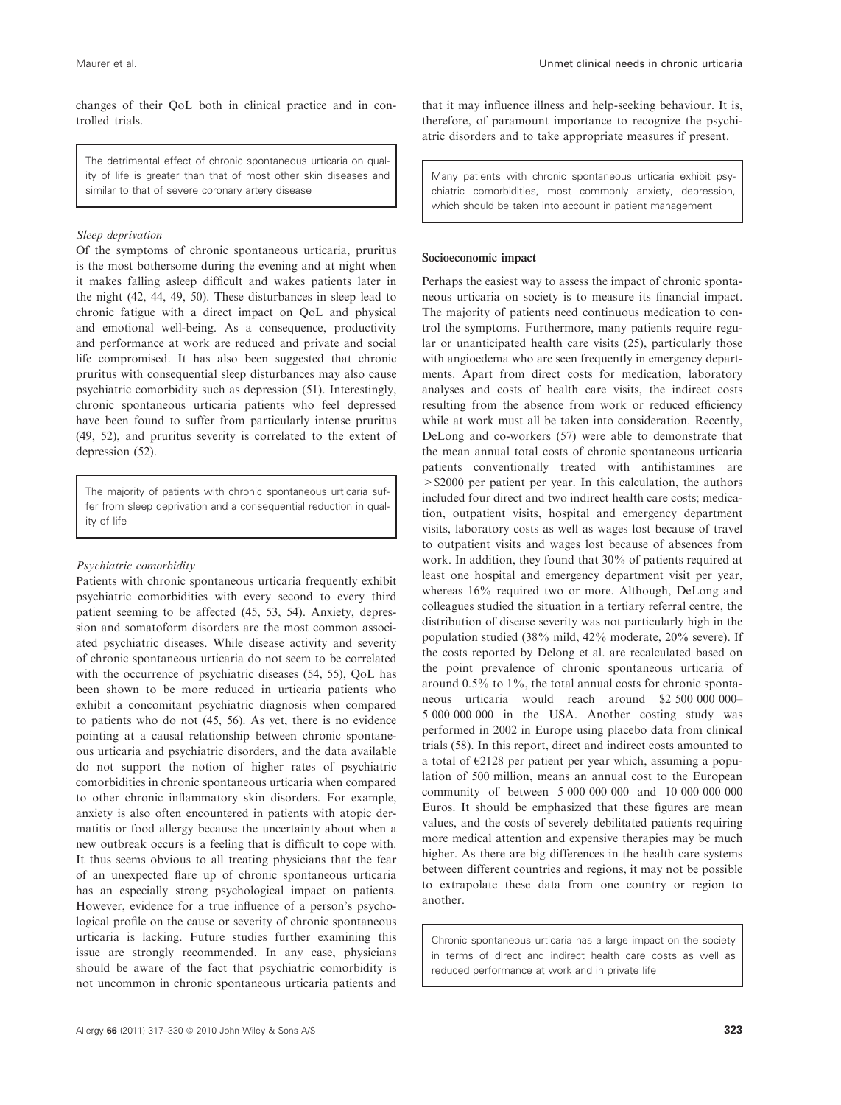changes of their QoL both in clinical practice and in controlled trials.

The detrimental effect of chronic spontaneous urticaria on quality of life is greater than that of most other skin diseases and similar to that of severe coronary artery disease

#### Sleep deprivation

Of the symptoms of chronic spontaneous urticaria, pruritus is the most bothersome during the evening and at night when it makes falling asleep difficult and wakes patients later in the night (42, 44, 49, 50). These disturbances in sleep lead to chronic fatigue with a direct impact on QoL and physical and emotional well-being. As a consequence, productivity and performance at work are reduced and private and social life compromised. It has also been suggested that chronic pruritus with consequential sleep disturbances may also cause psychiatric comorbidity such as depression (51). Interestingly, chronic spontaneous urticaria patients who feel depressed have been found to suffer from particularly intense pruritus (49, 52), and pruritus severity is correlated to the extent of depression (52).

The majority of patients with chronic spontaneous urticaria suffer from sleep deprivation and a consequential reduction in quality of life

#### Psychiatric comorbidity

Patients with chronic spontaneous urticaria frequently exhibit psychiatric comorbidities with every second to every third patient seeming to be affected (45, 53, 54). Anxiety, depression and somatoform disorders are the most common associated psychiatric diseases. While disease activity and severity of chronic spontaneous urticaria do not seem to be correlated with the occurrence of psychiatric diseases (54, 55), QoL has been shown to be more reduced in urticaria patients who exhibit a concomitant psychiatric diagnosis when compared to patients who do not (45, 56). As yet, there is no evidence pointing at a causal relationship between chronic spontaneous urticaria and psychiatric disorders, and the data available do not support the notion of higher rates of psychiatric comorbidities in chronic spontaneous urticaria when compared to other chronic inflammatory skin disorders. For example, anxiety is also often encountered in patients with atopic dermatitis or food allergy because the uncertainty about when a new outbreak occurs is a feeling that is difficult to cope with. It thus seems obvious to all treating physicians that the fear of an unexpected flare up of chronic spontaneous urticaria has an especially strong psychological impact on patients. However, evidence for a true influence of a person's psychological profile on the cause or severity of chronic spontaneous urticaria is lacking. Future studies further examining this issue are strongly recommended. In any case, physicians should be aware of the fact that psychiatric comorbidity is not uncommon in chronic spontaneous urticaria patients and that it may influence illness and help-seeking behaviour. It is, therefore, of paramount importance to recognize the psychiatric disorders and to take appropriate measures if present.

Many patients with chronic spontaneous urticaria exhibit psychiatric comorbidities, most commonly anxiety, depression, which should be taken into account in patient management

#### Socioeconomic impact

Perhaps the easiest way to assess the impact of chronic spontaneous urticaria on society is to measure its financial impact. The majority of patients need continuous medication to control the symptoms. Furthermore, many patients require regular or unanticipated health care visits (25), particularly those with angioedema who are seen frequently in emergency departments. Apart from direct costs for medication, laboratory analyses and costs of health care visits, the indirect costs resulting from the absence from work or reduced efficiency while at work must all be taken into consideration. Recently, DeLong and co-workers (57) were able to demonstrate that the mean annual total costs of chronic spontaneous urticaria patients conventionally treated with antihistamines are >\$2000 per patient per year. In this calculation, the authors included four direct and two indirect health care costs; medication, outpatient visits, hospital and emergency department visits, laboratory costs as well as wages lost because of travel to outpatient visits and wages lost because of absences from work. In addition, they found that 30% of patients required at least one hospital and emergency department visit per year, whereas 16% required two or more. Although, DeLong and colleagues studied the situation in a tertiary referral centre, the distribution of disease severity was not particularly high in the population studied (38% mild, 42% moderate, 20% severe). If the costs reported by Delong et al. are recalculated based on the point prevalence of chronic spontaneous urticaria of around 0.5% to 1%, the total annual costs for chronic spontaneous urticaria would reach around \$2 500 000 000– 5 000 000 000 in the USA. Another costing study was performed in 2002 in Europe using placebo data from clinical trials (58). In this report, direct and indirect costs amounted to a total of €2128 per patient per year which, assuming a population of 500 million, means an annual cost to the European community of between 5 000 000 000 and 10 000 000 000 Euros. It should be emphasized that these figures are mean values, and the costs of severely debilitated patients requiring more medical attention and expensive therapies may be much higher. As there are big differences in the health care systems between different countries and regions, it may not be possible to extrapolate these data from one country or region to another.

Chronic spontaneous urticaria has a large impact on the society in terms of direct and indirect health care costs as well as reduced performance at work and in private life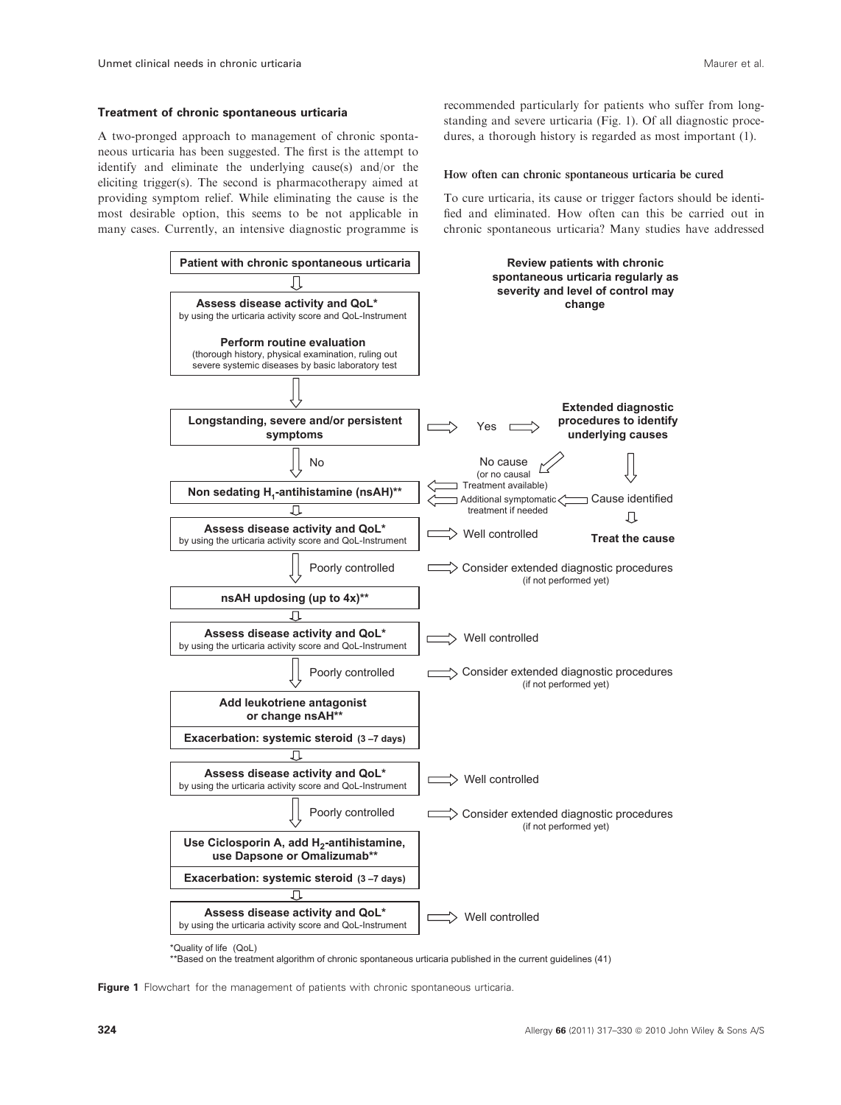#### Treatment of chronic spontaneous urticaria

A two-pronged approach to management of chronic spontaneous urticaria has been suggested. The first is the attempt to identify and eliminate the underlying cause(s) and/or the eliciting trigger(s). The second is pharmacotherapy aimed at providing symptom relief. While eliminating the cause is the most desirable option, this seems to be not applicable in many cases. Currently, an intensive diagnostic programme is

recommended particularly for patients who suffer from longstanding and severe urticaria (Fig. 1). Of all diagnostic procedures, a thorough history is regarded as most important (1).

#### How often can chronic spontaneous urticaria be cured

To cure urticaria, its cause or trigger factors should be identified and eliminated. How often can this be carried out in chronic spontaneous urticaria? Many studies have addressed



\*\*Based on the treatment algorithm of chronic spontaneous urticaria published in the current guidelines (41)

Figure 1 Flowchart for the management of patients with chronic spontaneous urticaria.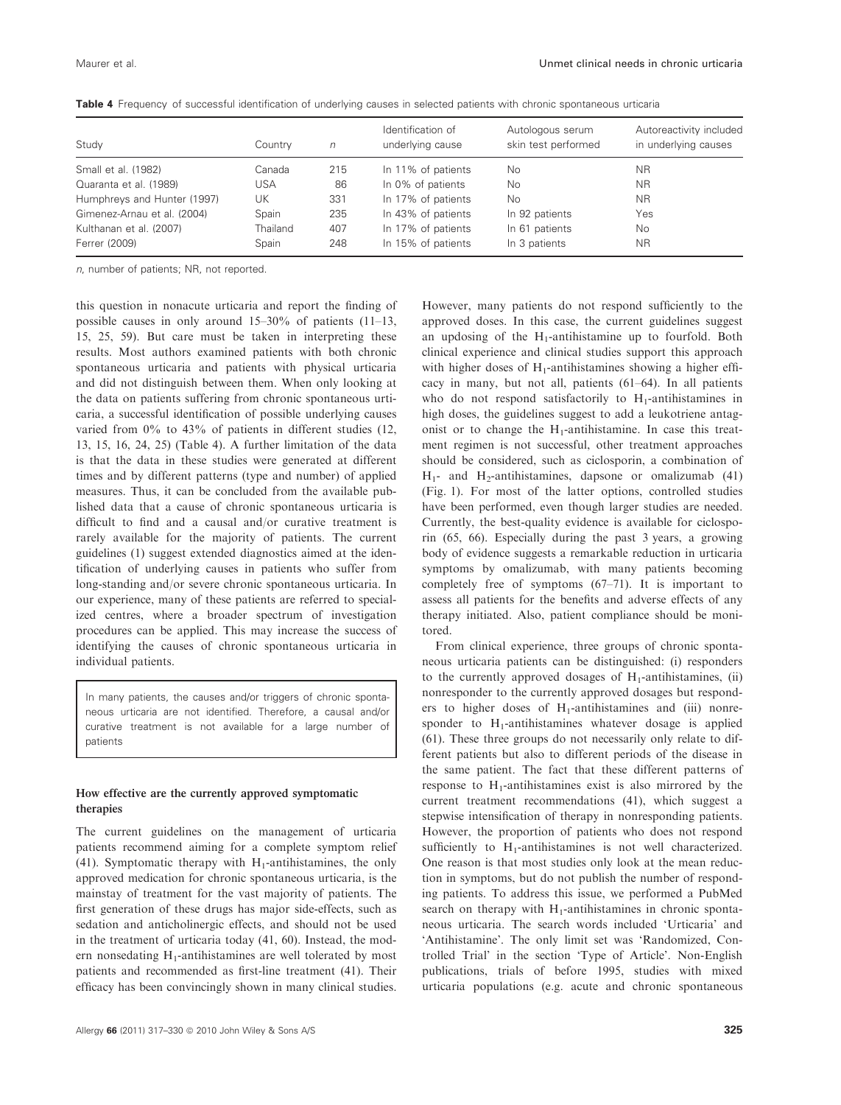| Study                       | Country  | n   | Identification of<br>underlying cause | Autologous serum<br>skin test performed | Autoreactivity included<br>in underlying causes |
|-----------------------------|----------|-----|---------------------------------------|-----------------------------------------|-------------------------------------------------|
| Small et al. (1982)         | Canada   | 215 | In 11% of patients                    | No                                      | NR.                                             |
| Quaranta et al. (1989)      | USA      | 86  | In 0% of patients                     | No                                      | <b>NR</b>                                       |
| Humphreys and Hunter (1997) | UK       | 331 | In 17% of patients                    | No                                      | NR.                                             |
| Gimenez-Arnau et al. (2004) | Spain    | 235 | In 43% of patients                    | In 92 patients                          | Yes                                             |
| Kulthanan et al. (2007)     | Thailand | 407 | In 17% of patients                    | In 61 patients                          | No.                                             |
| Ferrer (2009)               | Spain    | 248 | In 15% of patients                    | In 3 patients                           | <b>NR</b>                                       |

|  |  |  | Table 4 Frequency of successful identification of underlying causes in selected patients with chronic spontaneous urticaria |  |  |  |  |  |  |  |  |  |
|--|--|--|-----------------------------------------------------------------------------------------------------------------------------|--|--|--|--|--|--|--|--|--|
|--|--|--|-----------------------------------------------------------------------------------------------------------------------------|--|--|--|--|--|--|--|--|--|

n, number of patients; NR, not reported.

this question in nonacute urticaria and report the finding of possible causes in only around 15–30% of patients (11–13, 15, 25, 59). But care must be taken in interpreting these results. Most authors examined patients with both chronic spontaneous urticaria and patients with physical urticaria and did not distinguish between them. When only looking at the data on patients suffering from chronic spontaneous urticaria, a successful identification of possible underlying causes varied from 0% to 43% of patients in different studies (12, 13, 15, 16, 24, 25) (Table 4). A further limitation of the data is that the data in these studies were generated at different times and by different patterns (type and number) of applied measures. Thus, it can be concluded from the available published data that a cause of chronic spontaneous urticaria is difficult to find and a causal and/or curative treatment is rarely available for the majority of patients. The current guidelines (1) suggest extended diagnostics aimed at the identification of underlying causes in patients who suffer from long-standing and/or severe chronic spontaneous urticaria. In our experience, many of these patients are referred to specialized centres, where a broader spectrum of investigation procedures can be applied. This may increase the success of identifying the causes of chronic spontaneous urticaria in individual patients.

In many patients, the causes and/or triggers of chronic spontaneous urticaria are not identified. Therefore, a causal and/or curative treatment is not available for a large number of patients

## How effective are the currently approved symptomatic therapies

The current guidelines on the management of urticaria patients recommend aiming for a complete symptom relief (41). Symptomatic therapy with  $H_1$ -antihistamines, the only approved medication for chronic spontaneous urticaria, is the mainstay of treatment for the vast majority of patients. The first generation of these drugs has major side-effects, such as sedation and anticholinergic effects, and should not be used in the treatment of urticaria today (41, 60). Instead, the modern nonsedating  $H_1$ -antihistamines are well tolerated by most patients and recommended as first-line treatment (41). Their efficacy has been convincingly shown in many clinical studies.

However, many patients do not respond sufficiently to the approved doses. In this case, the current guidelines suggest an updosing of the  $H_1$ -antihistamine up to fourfold. Both clinical experience and clinical studies support this approach with higher doses of  $H_1$ -antihistamines showing a higher efficacy in many, but not all, patients (61–64). In all patients who do not respond satisfactorily to  $H_1$ -antihistamines in high doses, the guidelines suggest to add a leukotriene antagonist or to change the H1-antihistamine. In case this treatment regimen is not successful, other treatment approaches should be considered, such as ciclosporin, a combination of  $H_1$ - and  $H_2$ -antihistamines, dapsone or omalizumab (41) (Fig. 1). For most of the latter options, controlled studies have been performed, even though larger studies are needed. Currently, the best-quality evidence is available for ciclosporin (65, 66). Especially during the past 3 years, a growing body of evidence suggests a remarkable reduction in urticaria symptoms by omalizumab, with many patients becoming completely free of symptoms (67–71). It is important to assess all patients for the benefits and adverse effects of any therapy initiated. Also, patient compliance should be monitored.

From clinical experience, three groups of chronic spontaneous urticaria patients can be distinguished: (i) responders to the currently approved dosages of  $H_1$ -antihistamines, (ii) nonresponder to the currently approved dosages but responders to higher doses of  $H_1$ -antihistamines and (iii) nonresponder to  $H_1$ -antihistamines whatever dosage is applied (61). These three groups do not necessarily only relate to different patients but also to different periods of the disease in the same patient. The fact that these different patterns of response to H1-antihistamines exist is also mirrored by the current treatment recommendations (41), which suggest a stepwise intensification of therapy in nonresponding patients. However, the proportion of patients who does not respond sufficiently to H<sub>1</sub>-antihistamines is not well characterized. One reason is that most studies only look at the mean reduction in symptoms, but do not publish the number of responding patients. To address this issue, we performed a PubMed search on therapy with  $H_1$ -antihistamines in chronic spontaneous urticaria. The search words included 'Urticaria' and 'Antihistamine'. The only limit set was 'Randomized, Controlled Trial' in the section 'Type of Article'. Non-English publications, trials of before 1995, studies with mixed urticaria populations (e.g. acute and chronic spontaneous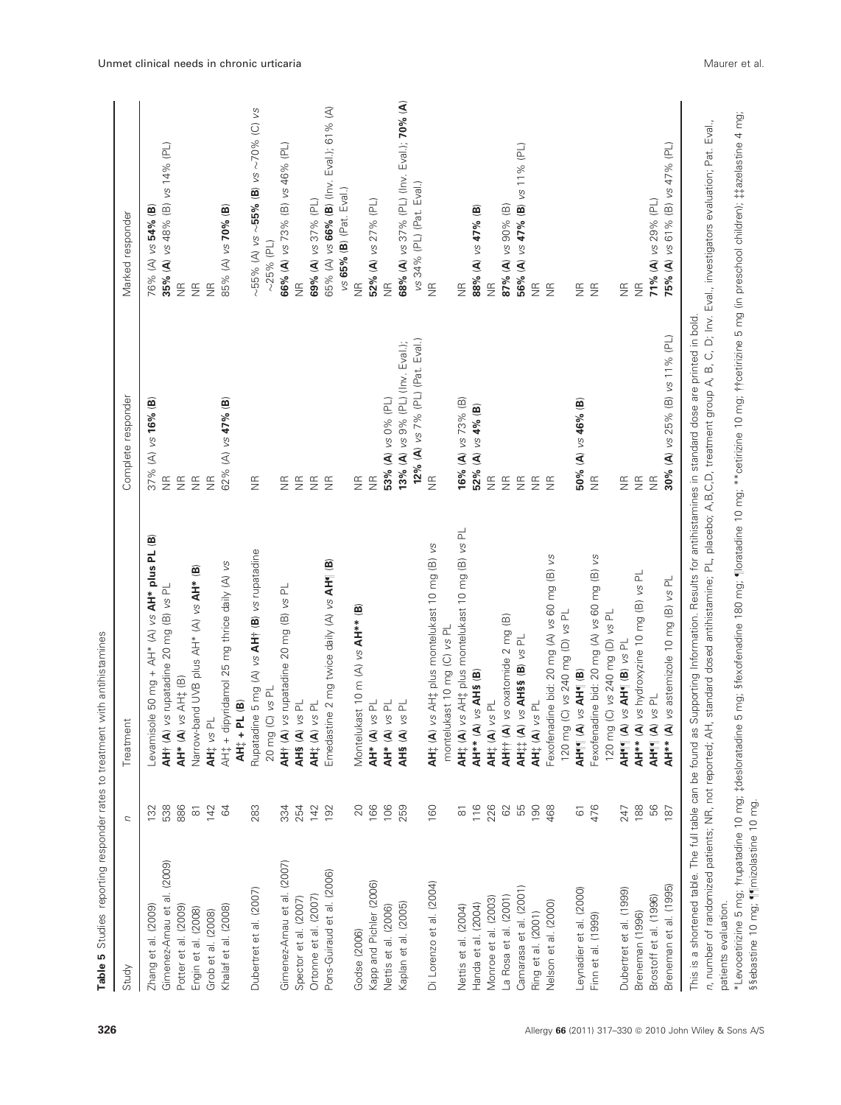| Study                         | U                   | Treatment                                                | Complete responder                                                         | Marked responder                                             |
|-------------------------------|---------------------|----------------------------------------------------------|----------------------------------------------------------------------------|--------------------------------------------------------------|
| Zhang et al. (2009)           | 132                 | Levamisole 50 mg + AH* (A) vs AH* plus PL (B)            | ◉<br>v s 16%<br>$\widehat{\mathfrak{S}}$<br>37%                            | ◉<br>VS 54%<br>$\mathfrak{S}$<br>16%                         |
| (2009)<br>Gimenez-Amau et al. | 538                 | AH <sup>†</sup> (A) vs rupatadine 20 mg (B) vs PL        | $\widetilde{\Xi}$                                                          | 35% (A) vs 48% (B) vs 14% (PL)                               |
| Potter et al. (2009)          | 886                 | vs AH <sub>1</sub> (B)<br>AH*(A)                         | $\frac{\mathbb{E}}{\mathbb{E}}$                                            | $\frac{\alpha}{2}$                                           |
| Engin et al. (2008)           | $\overline{\infty}$ | Narrow-band UVB plus AH* (A) vs <b>AH* (B)</b>           | $\frac{\mathbb{E}}{\mathbb{E}}$                                            | $\widetilde{\Xi}$                                            |
| Grob et al. (2008)            | 142                 | AH <sub>7</sub> vs PL                                    | $\frac{\mathbb{E}}{\mathbb{E}}$                                            | $\frac{\alpha}{2}$                                           |
| Khalaf et al. (2008)          | $\mathfrak{D}$      | AH <sub>1</sub> + dipyridamol 25 mg thrice daily (A) vs  | $(A)$ vs 47% $(B)$<br>62%                                                  | 85% (A) vs 70% (B)                                           |
|                               |                     | $AH_1^+$ + PL (B)                                        |                                                                            |                                                              |
| Dubertret et al. (2007)       | 283                 | Rupatadine 5 mg (A) vs AH <sup>+</sup> (B) vs rupatadine | $\frac{\alpha}{Z}$                                                         | $\sim$ 55% (A) vs $\sim$ <b>55% (B)</b> vs $\sim$ 70% (C) vs |
|                               |                     | 20 mg (C) vs PL                                          |                                                                            | $~25\%$ (PL)                                                 |
| Gimenez-Amau et al. (2007)    | 334                 | vs rupatadine 20 mg (B) vs PL<br>AH†(A)                  | $\frac{\pi}{2}$                                                            | 66% (A) vs 73% (B) vs 46% (PL)                               |
| Spector et al. (2007)         | 254                 | VS PL<br>AH <sub>S</sub> (A)                             | $rac{\pi}{2}$                                                              | $\frac{\alpha}{2}$                                           |
| Ortonne et al. (2007)         | 142                 | vs PL<br>AH <sub>‡</sub> (A)                             | $\stackrel{\scriptscriptstyle{\text{nc}}}{\scriptscriptstyle{\text{Z}}}\,$ | 69% (A) vs 37% (PL)                                          |
| Pons-Guiraud et al. (2006)    | 192                 | Emedastine 2 mg twice daily (A) vs AH¶ (B)               | $\frac{\alpha}{2}$                                                         | Eval.); 61% (A)<br>65% (A) vs 66% (B) (Inv.                  |
|                               |                     |                                                          |                                                                            | vs 65% (B) (Pat. Eval.)                                      |
| Godse (2006)                  | 20                  | Montelukast 10 m (A) vs AH** (B)                         | $\frac{\alpha}{2}$                                                         | $\frac{\mathbb{E}}{\mathbb{E}}$                              |
| Kapp and Pichler (2006)       | 166                 | vs PL<br>AH*(A)                                          | $\frac{\alpha}{2}$                                                         | 52% (A) vs 27% (PL)                                          |
| Nettis et al. (2006)          | 106                 | VS PL<br>AH*(A)                                          | 53% (A) vs 0% (PL)                                                         | $\frac{\alpha}{2}$                                           |
| Kaplan et al. (2005)          | 259                 | vs PL<br>AH <sub>S</sub> (A)                             | 13% (A) vs 9% (PL) (Inv. Eval.);                                           | 68% (A) vs 37% (PL) (Inv. Eval.); 70% (A)                    |
|                               |                     |                                                          | 12% (A) vs 7% (PL) (Pat. Eval.)                                            | vs 34% (PL) (Pat. Eval.)                                     |
| Di Lorenzo et al. (2004)      | 160                 | vs AH; plus montelukast 10 mg (B) vs<br>AH‡ (A)          | $\frac{\alpha}{2}$                                                         | $\frac{\alpha}{2}$                                           |
|                               |                     | montelukast 10 mg (C) vs PL                              |                                                                            |                                                              |
| Nettis et al. (2004)          | $\overline{\infty}$ | AH: (A) vs AH: plus montelukast 10 mg (B) vs PL          | 16% (A) $\vee$ s 73% (B)                                                   | $\frac{\pi}{2}$                                              |
| Handa et al. (2004)           | 116                 | AH** (A) vs AH§ (B)                                      | 52% (A) vs 4% (B)                                                          | $(A)$ $\vee$ $5$ $47%$ $(B)$<br>88%                          |
| Monroe et al. (2003)          | 226                 | $AH$ $\ddot{A}$ $\vee$ $\vee$ PL                         | $\frac{\mathbb{E}}{\mathbb{E}}$                                            | $\frac{\mathbb{E}}{\mathbb{E}}$                              |
| La Rosa et al. (2001)         | 62                  | $AH^+$ (A) vs oxatomide 2 mg (B)                         | $\frac{\mathbb{E}}{\mathbb{E}}$                                            | 87% (A) $\vee$ 90% (B)                                       |
| Camarasa et al. (2001)        | 55                  | $\overline{\mathtt{a}}$<br>AH## (A) vs AHSS (B) vs       | $\widetilde{\Xi}$                                                          | 56% (A) vs 47% (B) vs 11% (PL)                               |
| Ring et al. (2001)            | 190                 | AH <sub>#</sub> (A) vs PL                                | $\frac{\alpha}{2}$                                                         | $\frac{\alpha}{2}$                                           |
| Nelson et al. (2000)          | 468                 | Fexofenadine bid: 20 mg (A) vs 60 mg (B) vs              | $\frac{\alpha}{2}$                                                         | $rac{\pi}{2}$                                                |
|                               |                     | 120 mg (C) vs 240 mg (D) vs PL                           |                                                                            |                                                              |
| Leynadier et al. (2000)       | $\overline{6}$      | AHITI (A) vs AHT (B)                                     | 50% (A) $\sqrt{3}$ 46% (B)                                                 | E E                                                          |
| Finn et al. (1999)            | 476                 | Fexofenadine bid: 20 mg (A) vs 60 mg (B) vs              | $\frac{\alpha}{Z}$                                                         |                                                              |
|                               |                     | 120 mg (C) vs 240 mg (D) vs PL                           |                                                                            |                                                              |
| Dubertret et al. (1999)       | 247                 | $AH  $ $($ A) $\vee$ s $AH  $ $(B)$ $\vee$ s $PL$        | $\frac{\alpha}{2}$                                                         | $\frac{\alpha}{2}$                                           |
| Breneman (1996)               | 188                 | AH <sup>**</sup> (A) vs hydroxyzine 10 mg (B) vs PL      | $\frac{\alpha}{2}$                                                         | $\frac{\alpha}{2}$                                           |
| Brostoff et al. (1996)        | 99                  | AHII (A) vs PL                                           | $\frac{\alpha}{2}$                                                         | 71% (A) vs 29% (PL)                                          |
| Breneman et al. (1995)        | 87                  | AH <sup>**</sup> (A) vs astemizole 10 mg (B) vs PL       | (A) vs 25% (B) vs 11% (PL)<br>30%                                          | 47% (PL)<br>61% (B) vs<br>Σ<br>$\widehat{\mathbf{S}}$<br>75% |

cetirizine 5 mg (in preschool children); ttazelastine 4 mg;

**326** Allergy 66 (2011) 317-330 © 2010 John Wiley & Sons A/S

\*Levocetirizine 5 mg; †

§§ebastine 10 mg; ¶¶mizolastine 10 mg.

rupatadine 10 mg; desloratadine 5 mg; §fexofenadine 180 mg; –loratadine 10 mg; \*\*cetirizine 10 mg; -

\*Levocetirizine 5 mg; †rupatadine 10 mg; ‡desloratadine 5 mg; §fexofenadine 180 mg; ¶loratadine 10 mg; \*\*cetirizine 5 mg (in preschool children); ‡‡azelastine 4 mg;<br>§§ebastine 10 mg; ¶¶mizolastine 10 mg.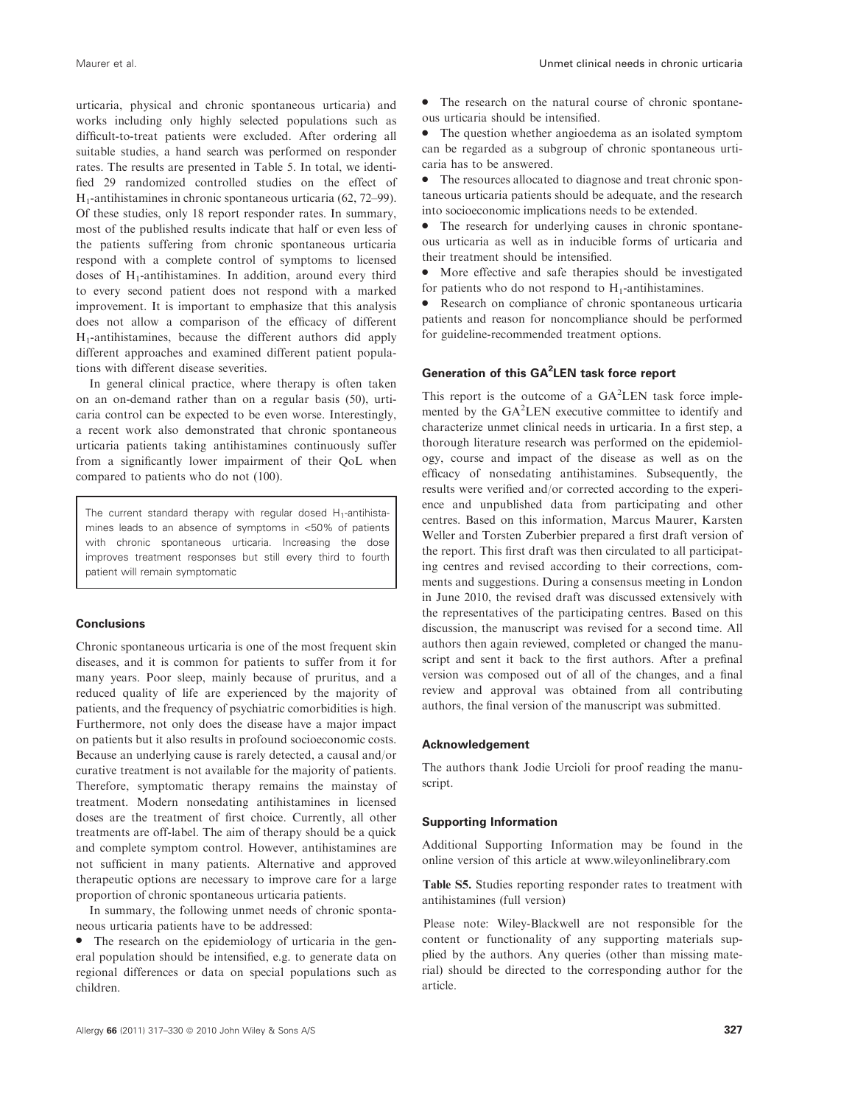urticaria, physical and chronic spontaneous urticaria) and works including only highly selected populations such as difficult-to-treat patients were excluded. After ordering all suitable studies, a hand search was performed on responder rates. The results are presented in Table 5. In total, we identified 29 randomized controlled studies on the effect of H1-antihistamines in chronic spontaneous urticaria (62, 72–99). Of these studies, only 18 report responder rates. In summary, most of the published results indicate that half or even less of the patients suffering from chronic spontaneous urticaria respond with a complete control of symptoms to licensed doses of  $H_1$ -antihistamines. In addition, around every third to every second patient does not respond with a marked improvement. It is important to emphasize that this analysis does not allow a comparison of the efficacy of different H1-antihistamines, because the different authors did apply different approaches and examined different patient populations with different disease severities.

In general clinical practice, where therapy is often taken on an on-demand rather than on a regular basis (50), urticaria control can be expected to be even worse. Interestingly, a recent work also demonstrated that chronic spontaneous urticaria patients taking antihistamines continuously suffer from a significantly lower impairment of their QoL when compared to patients who do not (100).

The current standard therapy with regular dosed  $H_1$ -antihistamines leads to an absence of symptoms in <50% of patients with chronic spontaneous urticaria. Increasing the dose improves treatment responses but still every third to fourth patient will remain symptomatic

## **Conclusions**

Chronic spontaneous urticaria is one of the most frequent skin diseases, and it is common for patients to suffer from it for many years. Poor sleep, mainly because of pruritus, and a reduced quality of life are experienced by the majority of patients, and the frequency of psychiatric comorbidities is high. Furthermore, not only does the disease have a major impact on patients but it also results in profound socioeconomic costs. Because an underlying cause is rarely detected, a causal and/or curative treatment is not available for the majority of patients. Therefore, symptomatic therapy remains the mainstay of treatment. Modern nonsedating antihistamines in licensed doses are the treatment of first choice. Currently, all other treatments are off-label. The aim of therapy should be a quick and complete symptom control. However, antihistamines are not sufficient in many patients. Alternative and approved therapeutic options are necessary to improve care for a large proportion of chronic spontaneous urticaria patients.

In summary, the following unmet needs of chronic spontaneous urticaria patients have to be addressed:

• The research on the epidemiology of urticaria in the general population should be intensified, e.g. to generate data on regional differences or data on special populations such as children.

• The research on the natural course of chronic spontaneous urticaria should be intensified.

The question whether angioedema as an isolated symptom can be regarded as a subgroup of chronic spontaneous urticaria has to be answered.

The resources allocated to diagnose and treat chronic spontaneous urticaria patients should be adequate, and the research into socioeconomic implications needs to be extended.

• The research for underlying causes in chronic spontaneous urticaria as well as in inducible forms of urticaria and their treatment should be intensified.

<sup>l</sup> More effective and safe therapies should be investigated for patients who do not respond to  $H_1$ -antihistamines.

Research on compliance of chronic spontaneous urticaria patients and reason for noncompliance should be performed for guideline-recommended treatment options.

## Generation of this GA<sup>2</sup>LEN task force report

This report is the outcome of a  $GA<sup>2</sup>LEN$  task force implemented by the GA<sup>2</sup>LEN executive committee to identify and characterize unmet clinical needs in urticaria. In a first step, a thorough literature research was performed on the epidemiology, course and impact of the disease as well as on the efficacy of nonsedating antihistamines. Subsequently, the results were verified and/or corrected according to the experience and unpublished data from participating and other centres. Based on this information, Marcus Maurer, Karsten Weller and Torsten Zuberbier prepared a first draft version of the report. This first draft was then circulated to all participating centres and revised according to their corrections, comments and suggestions. During a consensus meeting in London in June 2010, the revised draft was discussed extensively with the representatives of the participating centres. Based on this discussion, the manuscript was revised for a second time. All authors then again reviewed, completed or changed the manuscript and sent it back to the first authors. After a prefinal version was composed out of all of the changes, and a final review and approval was obtained from all contributing authors, the final version of the manuscript was submitted.

#### Acknowledgement

The authors thank Jodie Urcioli for proof reading the manuscript.

#### Supporting Information

Additional Supporting Information may be found in the online version of this article at www.wileyonlinelibrary.com

Table S5. Studies reporting responder rates to treatment with antihistamines (full version)

Please note: Wiley-Blackwell are not responsible for the content or functionality of any supporting materials supplied by the authors. Any queries (other than missing material) should be directed to the corresponding author for the article.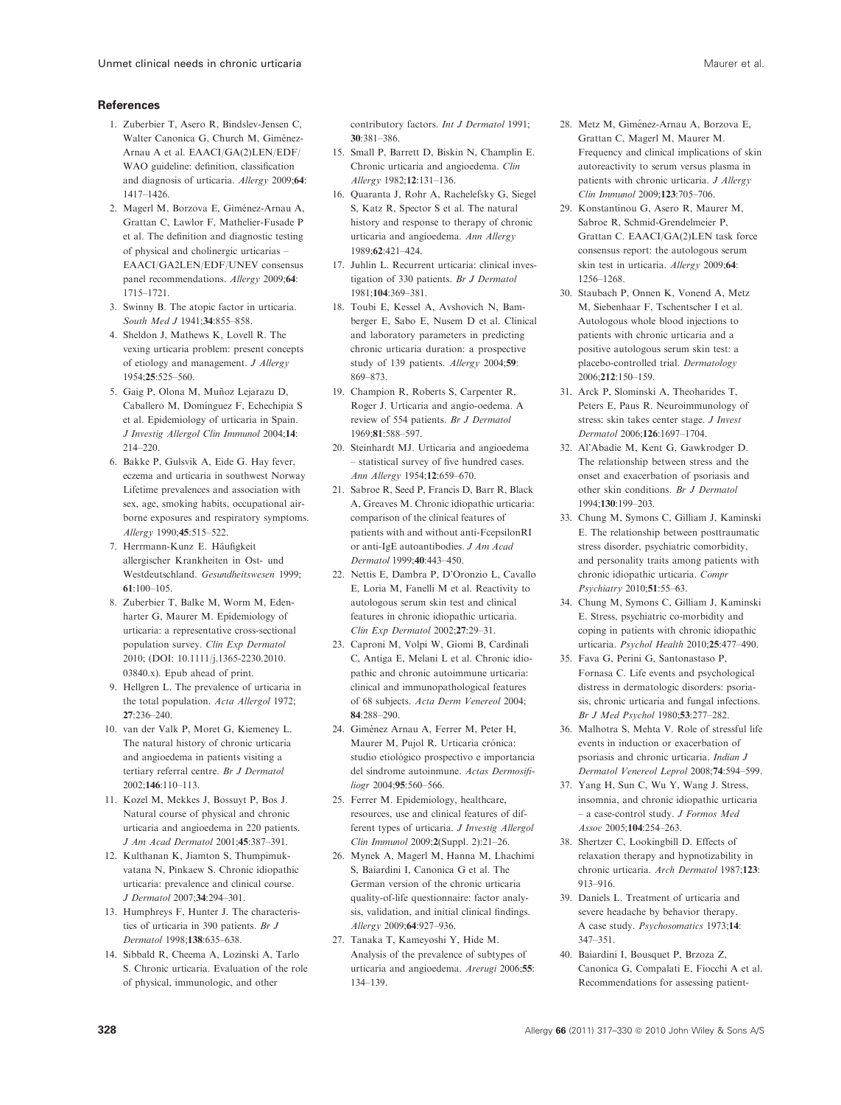#### References

- 1. Zuberbier T, Asero R, Bindslev-Jensen C, Walter Canonica G, Church M, Giménez-Arnau A et al. EAACI/GA(2)LEN/EDF/ WAO guideline: definition, classification and diagnosis of urticaria. Allergy 2009;64: 1417–1426.
- 2. Magerl M, Borzova E, Giménez-Arnau A, Grattan C, Lawlor F, Mathelier-Fusade P et al. The definition and diagnostic testing of physical and cholinergic urticarias – EAACI/GA2LEN/EDF/UNEV consensus panel recommendations. Allergy 2009;64: 1715–1721.
- 3. Swinny B. The atopic factor in urticaria. South Med J 1941:34:855-858.
- 4. Sheldon J, Mathews K, Lovell R. The vexing urticaria problem: present concepts of etiology and management. J Allergy 1954;25:525–560.
- 5. Gaig P, Olona M, Muñoz Lejarazu D, Caballero M, Domínguez F, Echechipia S et al. Epidemiology of urticaria in Spain. J Investig Allergol Clin Immunol 2004;14: 214–220.
- 6. Bakke P, Gulsvik A, Eide G. Hay fever, eczema and urticaria in southwest Norway Lifetime prevalences and association with sex, age, smoking habits, occupational airborne exposures and respiratory symptoms. Allergy 1990;45:515–522.
- 7. Herrmann-Kunz E. Häufigkeit allergischer Krankheiten in Ost- und Westdeutschland. Gesundheitswesen 1999; 61:100–105.
- 8. Zuberbier T, Balke M, Worm M, Edenharter G, Maurer M. Epidemiology of urticaria: a representative cross-sectional population survey. Clin Exp Dermatol 2010; (DOI: 10.1111/j.1365-2230.2010. 03840.x). Epub ahead of print.
- 9. Hellgren L. The prevalence of urticaria in the total population. Acta Allergol 1972; 27:236–240.
- 10. van der Valk P, Moret G, Kiemeney L. The natural history of chronic urticaria and angioedema in patients visiting a tertiary referral centre. Br J Dermatol 2002;146:110–113.
- 11. Kozel M, Mekkes J, Bossuyt P, Bos J. Natural course of physical and chronic urticaria and angioedema in 220 patients. J Am Acad Dermatol 2001;45:387–391.
- 12. Kulthanan K, Jiamton S, Thumpimukvatana N, Pinkaew S. Chronic idiopathic urticaria: prevalence and clinical course. J Dermatol 2007;34:294–301.
- 13. Humphreys F, Hunter J. The characteristics of urticaria in 390 patients. Br J Dermatol 1998;138:635–638.
- 14. Sibbald R, Cheema A, Lozinski A, Tarlo S. Chronic urticaria. Evaluation of the role of physical, immunologic, and other

contributory factors. Int J Dermatol 1991; 30:381–386.

- 15. Small P, Barrett D, Biskin N, Champlin E. Chronic urticaria and angioedema. Clin Allergy 1982;12:131–136.
- 16. Quaranta J, Rohr A, Rachelefsky G, Siegel S, Katz R, Spector S et al. The natural history and response to therapy of chronic urticaria and angioedema. Ann Allergy 1989;62:421–424.
- 17. Juhlin L. Recurrent urticaria: clinical investigation of 330 patients. Br J Dermatol 1981;104:369–381.
- 18. Toubi E, Kessel A, Avshovich N, Bamberger E, Sabo E, Nusem D et al. Clinical and laboratory parameters in predicting chronic urticaria duration: a prospective study of 139 patients. Allergy 2004;59: 869–873.
- 19. Champion R, Roberts S, Carpenter R, Roger J. Urticaria and angio-oedema. A review of 554 patients. Br J Dermatol 1969;81:588–597.
- 20. Steinhardt MJ. Urticaria and angioedema – statistical survey of five hundred cases. Ann Allergy 1954;12:659–670.
- 21. Sabroe R, Seed P, Francis D, Barr R, Black A, Greaves M. Chronic idiopathic urticaria: comparison of the clinical features of patients with and without anti-FcepsilonRI or anti-IgE autoantibodies. J Am Acad Dermatol 1999;40:443–450.
- 22. Nettis E, Dambra P, D'Oronzio L, Cavallo E, Loria M, Fanelli M et al. Reactivity to autologous serum skin test and clinical features in chronic idiopathic urticaria. Clin Exp Dermatol 2002;27:29–31.
- 23. Caproni M, Volpi W, Giomi B, Cardinali C, Antiga E, Melani L et al. Chronic idiopathic and chronic autoimmune urticaria: clinical and immunopathological features of 68 subjects. Acta Derm Venereol 2004; 84:288–290.
- 24. Giménez Arnau A, Ferrer M, Peter H, Maurer M, Pujol R. Urticaria crónica: studio etiológico prospectivo e importancia del síndrome autoinmune. Actas Dermosifiliogr 2004;95:560–566.
- 25. Ferrer M. Epidemiology, healthcare, resources, use and clinical features of different types of urticaria. J Investig Allergol Clin Immunol 2009;2(Suppl. 2):21–26.
- 26. Mynek A, Magerl M, Hanna M, Lhachimi S, Baiardini I, Canonica G et al. The German version of the chronic urticaria quality-of-life questionnaire: factor analysis, validation, and initial clinical findings. Allergy 2009;64:927–936.
- 27. Tanaka T, Kameyoshi Y, Hide M. Analysis of the prevalence of subtypes of urticaria and angioedema. Arerugi 2006;55: 134–139.
- 28. Metz M, Giménez-Arnau A, Borzova E, Grattan C, Magerl M, Maurer M. Frequency and clinical implications of skin autoreactivity to serum versus plasma in patients with chronic urticaria. J Allergy Clin Immunol 2009;123:705–706.
- 29. Konstantinou G, Asero R, Maurer M, Sabroe R, Schmid-Grendelmeier P, Grattan C. EAACI/GA(2)LEN task force consensus report: the autologous serum skin test in urticaria. Allergy 2009;64: 1256–1268.
- 30. Staubach P, Onnen K, Vonend A, Metz M, Siebenhaar F, Tschentscher I et al. Autologous whole blood injections to patients with chronic urticaria and a positive autologous serum skin test: a placebo-controlled trial. Dermatology 2006;212:150–159.
- 31. Arck P, Slominski A, Theoharides T, Peters E, Paus R. Neuroimmunology of stress: skin takes center stage. J Invest Dermatol 2006;126:1697–1704.
- 32. Al'Abadie M, Kent G, Gawkrodger D. The relationship between stress and the onset and exacerbation of psoriasis and other skin conditions. Br J Dermatol 1994;130:199–203.
- 33. Chung M, Symons C, Gilliam J, Kaminski E. The relationship between posttraumatic stress disorder, psychiatric comorbidity, and personality traits among patients with chronic idiopathic urticaria. Compr Psychiatry 2010;51:55–63.
- 34. Chung M, Symons C, Gilliam J, Kaminski E. Stress, psychiatric co-morbidity and coping in patients with chronic idiopathic urticaria. Psychol Health 2010;25:477–490.
- 35. Fava G, Perini G, Santonastaso P, Fornasa C. Life events and psychological distress in dermatologic disorders: psoriasis, chronic urticaria and fungal infections. Br J Med Psychol 1980;53:277–282.
- 36. Malhotra S, Mehta V. Role of stressful life events in induction or exacerbation of psoriasis and chronic urticaria. Indian J Dermatol Venereol Leprol 2008;74:594–599.
- 37. Yang H, Sun C, Wu Y, Wang J. Stress, insomnia, and chronic idiopathic urticaria – a case-control study. J Formos Med Assoc 2005;104:254–263.
- 38. Shertzer C, Lookingbill D. Effects of relaxation therapy and hypnotizability in chronic urticaria. Arch Dermatol 1987;123: 913–916.
- 39. Daniels L. Treatment of urticaria and severe headache by behavior therapy. A case study. Psychosomatics 1973;14: 347–351.
- 40. Baiardini I, Bousquet P, Brzoza Z, Canonica G, Compalati E, Fiocchi A et al. Recommendations for assessing patient-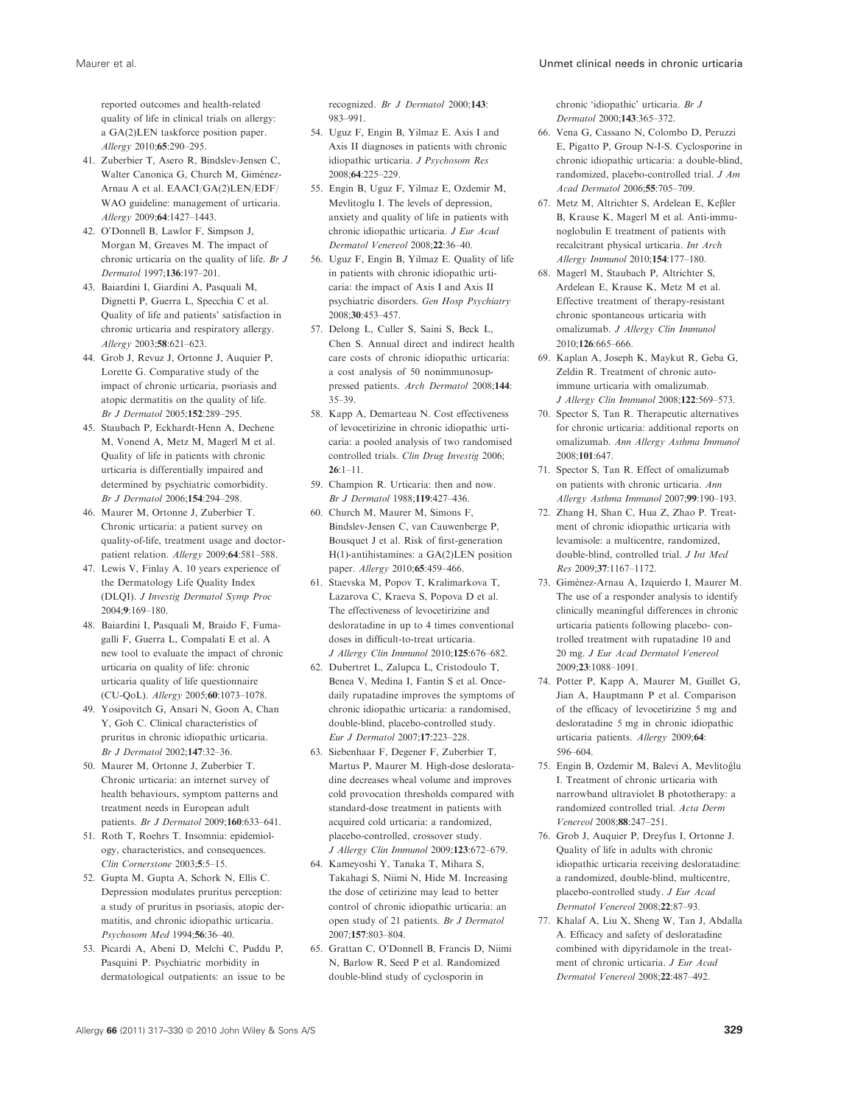reported outcomes and health-related quality of life in clinical trials on allergy: a GA(2)LEN taskforce position paper. Allergy 2010;65:290–295.

- 41. Zuberbier T, Asero R, Bindslev-Jensen C, Walter Canonica G, Church M, Giménez-Arnau A et al. EAACI/GA(2)LEN/EDF/ WAO guideline: management of urticaria. Allergy 2009;64:1427–1443.
- 42. O'Donnell B, Lawlor F, Simpson J, Morgan M, Greaves M. The impact of chronic urticaria on the quality of life. Br J Dermatol 1997;136:197–201.
- 43. Baiardini I, Giardini A, Pasquali M, Dignetti P, Guerra L, Specchia C et al. Quality of life and patients' satisfaction in chronic urticaria and respiratory allergy. Allergy 2003;58:621–623.
- 44. Grob J, Revuz J, Ortonne J, Auquier P, Lorette G. Comparative study of the impact of chronic urticaria, psoriasis and atopic dermatitis on the quality of life. Br J Dermatol 2005;152:289–295.
- 45. Staubach P, Eckhardt-Henn A, Dechene M, Vonend A, Metz M, Magerl M et al. Quality of life in patients with chronic urticaria is differentially impaired and determined by psychiatric comorbidity. Br J Dermatol 2006;154:294–298.
- 46. Maurer M, Ortonne J, Zuberbier T. Chronic urticaria: a patient survey on quality-of-life, treatment usage and doctorpatient relation. Allergy 2009;64:581–588.
- 47. Lewis V, Finlay A. 10 years experience of the Dermatology Life Quality Index (DLQI). J Investig Dermatol Symp Proc 2004;9:169–180.
- 48. Baiardini I, Pasquali M, Braido F, Fumagalli F, Guerra L, Compalati E et al. A new tool to evaluate the impact of chronic urticaria on quality of life: chronic urticaria quality of life questionnaire (CU-QoL). Allergy 2005;60:1073–1078.
- 49. Yosipovitch G, Ansari N, Goon A, Chan Y, Goh C. Clinical characteristics of pruritus in chronic idiopathic urticaria. Br J Dermatol 2002;147:32–36.
- 50. Maurer M, Ortonne J, Zuberbier T. Chronic urticaria: an internet survey of health behaviours, symptom patterns and treatment needs in European adult patients. Br J Dermatol 2009;160:633–641.
- 51. Roth T, Roehrs T. Insomnia: epidemiology, characteristics, and consequences. Clin Cornerstone 2003;5:5–15.
- 52. Gupta M, Gupta A, Schork N, Ellis C. Depression modulates pruritus perception: a study of pruritus in psoriasis, atopic dermatitis, and chronic idiopathic urticaria. Psychosom Med 1994;56:36–40.
- 53. Picardi A, Abeni D, Melchi C, Puddu P, Pasquini P. Psychiatric morbidity in dermatological outpatients: an issue to be

recognized. Br J Dermatol 2000;143: 983–991.

- 54. Uguz F, Engin B, Yilmaz E. Axis I and Axis II diagnoses in patients with chronic idiopathic urticaria. J Psychosom Res 2008;64:225–229.
- 55. Engin B, Uguz F, Yilmaz E, Ozdemir M, Mevlitoglu I. The levels of depression, anxiety and quality of life in patients with chronic idiopathic urticaria. J Eur Acad Dermatol Venereol 2008;22:36–40.
- 56. Uguz F, Engin B, Yilmaz E. Quality of life in patients with chronic idiopathic urticaria: the impact of Axis I and Axis II psychiatric disorders. Gen Hosp Psychiatry 2008;30:453–457.
- 57. Delong L, Culler S, Saini S, Beck L, Chen S. Annual direct and indirect health care costs of chronic idiopathic urticaria: a cost analysis of 50 nonimmunosuppressed patients. Arch Dermatol 2008;144: 35–39.
- 58. Kapp A, Demarteau N. Cost effectiveness of levocetirizine in chronic idiopathic urticaria: a pooled analysis of two randomised controlled trials. Clin Drug Investig 2006;  $26:1-11$
- 59. Champion R. Urticaria: then and now. Br J Dermatol 1988;119:427–436.
- 60. Church M, Maurer M, Simons F, Bindslev-Jensen C, van Cauwenberge P, Bousquet J et al. Risk of first-generation H(1)-antihistamines: a GA(2)LEN position paper. Allergy 2010;65:459–466.
- 61. Staevska M, Popov T, Kralimarkova T, Lazarova C, Kraeva S, Popova D et al. The effectiveness of levocetirizine and desloratadine in up to 4 times conventional doses in difficult-to-treat urticaria. J Allergy Clin Immunol 2010;125:676–682.
- 62. Dubertret L, Zalupca L, Cristodoulo T, Benea V, Medina I, Fantin S et al. Oncedaily rupatadine improves the symptoms of chronic idiopathic urticaria: a randomised, double-blind, placebo-controlled study. Eur J Dermatol 2007;17:223–228.
- 63. Siebenhaar F, Degener F, Zuberbier T, Martus P, Maurer M. High-dose desloratadine decreases wheal volume and improves cold provocation thresholds compared with standard-dose treatment in patients with acquired cold urticaria: a randomized, placebo-controlled, crossover study. J Allergy Clin Immunol 2009;123:672–679.
- 64. Kameyoshi Y, Tanaka T, Mihara S, Takahagi S, Niimi N, Hide M. Increasing the dose of cetirizine may lead to better control of chronic idiopathic urticaria: an open study of 21 patients. Br J Dermatol 2007;157:803–804.
- 65. Grattan C, O'Donnell B, Francis D, Niimi N, Barlow R, Seed P et al. Randomized double-blind study of cyclosporin in

chronic 'idiopathic' urticaria. Br J Dermatol 2000;143:365–372.

- 66. Vena G, Cassano N, Colombo D, Peruzzi E, Pigatto P, Group N-I-S. Cyclosporine in chronic idiopathic urticaria: a double-blind, randomized, placebo-controlled trial. J Am Acad Dermatol 2006;55:705–709.
- 67. Metz M, Altrichter S, Ardelean E, Kebler B, Krause K, Magerl M et al. Anti-immunoglobulin E treatment of patients with recalcitrant physical urticaria. Int Arch Allergy Immunol 2010;154:177–180.
- 68. Magerl M, Staubach P, Altrichter S, Ardelean E, Krause K, Metz M et al. Effective treatment of therapy-resistant chronic spontaneous urticaria with omalizumab. J Allergy Clin Immunol 2010;126:665–666.
- 69. Kaplan A, Joseph K, Maykut R, Geba G, Zeldin R. Treatment of chronic autoimmune urticaria with omalizumab. J Allergy Clin Immunol 2008;122:569–573.
- 70. Spector S, Tan R. Therapeutic alternatives for chronic urticaria: additional reports on omalizumab. Ann Allergy Asthma Immunol 2008;101:647.
- 71. Spector S, Tan R. Effect of omalizumab on patients with chronic urticaria. Ann Allergy Asthma Immunol 2007;99:190–193.
- 72. Zhang H, Shan C, Hua Z, Zhao P. Treatment of chronic idiopathic urticaria with levamisole: a multicentre, randomized, double-blind, controlled trial. J Int Med Res 2009;37:1167–1172.
- 73. Giménez-Arnau A, Izquierdo I, Maurer M. The use of a responder analysis to identify clinically meaningful differences in chronic urticaria patients following placebo- controlled treatment with rupatadine 10 and 20 mg. J Eur Acad Dermatol Venereol 2009;23:1088–1091.
- 74. Potter P, Kapp A, Maurer M, Guillet G, Jian A, Hauptmann P et al. Comparison of the efficacy of levocetirizine 5 mg and desloratadine 5 mg in chronic idiopathic urticaria patients. Allergy 2009;64: 596–604.
- 75. Engin B, Ozdemir M, Balevi A, Mevlitoğlu I. Treatment of chronic urticaria with narrowband ultraviolet B phototherapy: a randomized controlled trial. Acta Derm Venereol 2008;88:247–251.
- 76. Grob J, Auquier P, Dreyfus I, Ortonne J. Quality of life in adults with chronic idiopathic urticaria receiving desloratadine: a randomized, double-blind, multicentre, placebo-controlled study. J Eur Acad Dermatol Venereol 2008;22:87–93.
- 77. Khalaf A, Liu X, Sheng W, Tan J, Abdalla A. Efficacy and safety of desloratadine combined with dipyridamole in the treatment of chronic urticaria. J Eur Acad Dermatol Venereol 2008;22:487–492.